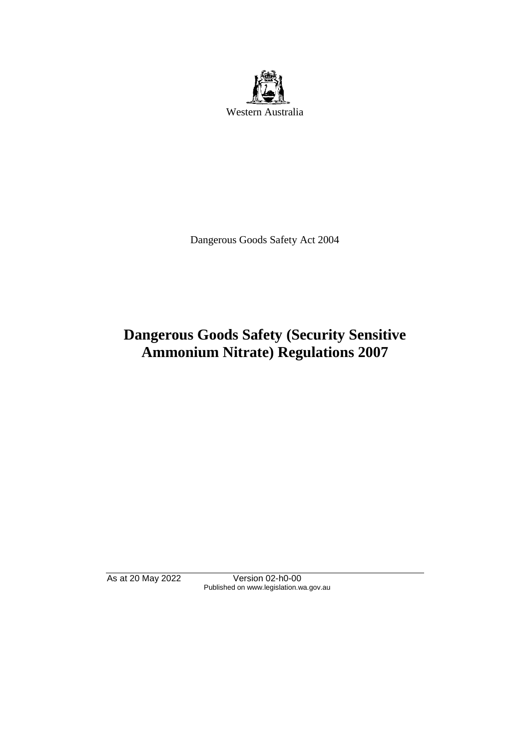

Dangerous Goods Safety Act 2004

# **Dangerous Goods Safety (Security Sensitive Ammonium Nitrate) Regulations 2007**

As at 20 May 2022 Version 02-h0-00 Published on www.legislation.wa.gov.au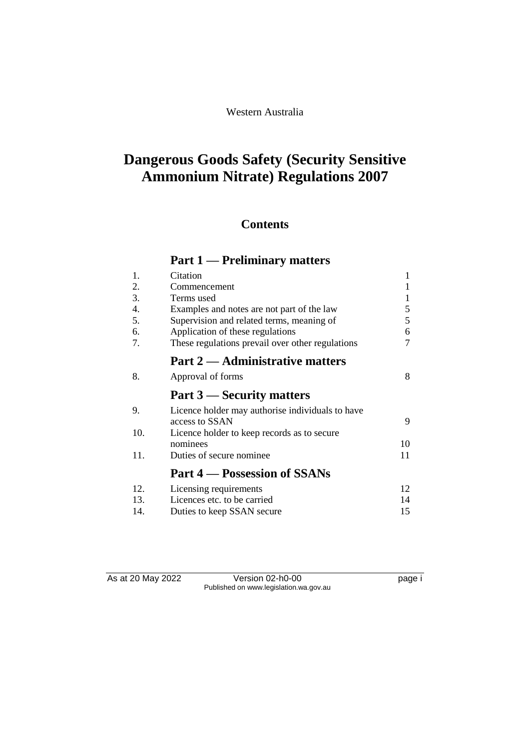# **Dangerous Goods Safety (Security Sensitive Ammonium Nitrate) Regulations 2007**

# **Contents**

# **Part 1 — Preliminary matters**

| 1.  | Citation                                         | 1  |
|-----|--------------------------------------------------|----|
| 2.  | Commencement                                     |    |
| 3.  | Terms used                                       | 1  |
| 4.  | Examples and notes are not part of the law       | 5  |
| 5.  | Supervision and related terms, meaning of        | 5  |
| 6.  | Application of these regulations                 | 6  |
| 7.  | These regulations prevail over other regulations | 7  |
|     | <b>Part 2 — Administrative matters</b>           |    |
| 8.  | Approval of forms                                | 8  |
|     | Part 3 — Security matters                        |    |
| 9.  | Licence holder may authorise individuals to have |    |
|     | access to SSAN                                   | 9  |
| 10. | Licence holder to keep records as to secure      |    |
|     | nominees                                         | 10 |
| 11. | Duties of secure nominee.                        | 11 |
|     | <b>Part 4 – Possession of SSANs</b>              |    |
| 12. | Licensing requirements                           | 12 |
| 13. | Licences etc. to be carried                      | 14 |
| 14. | Duties to keep SSAN secure                       | 15 |

As at 20 May 2022 Version 02-h0-00 Page i Published on www.legislation.wa.gov.au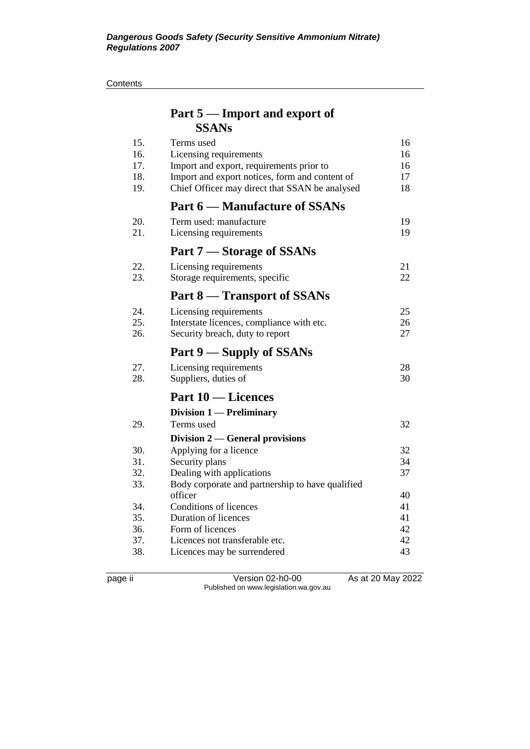#### **Contents**

# **Part 5 — Import and export of SSANs**

| 15.<br>16.<br>17.<br>18.<br>19. | Terms used<br>Licensing requirements<br>Import and export, requirements prior to<br>Import and export notices, form and content of<br>Chief Officer may direct that SSAN be analysed | 16<br>16<br>16<br>17<br>18 |
|---------------------------------|--------------------------------------------------------------------------------------------------------------------------------------------------------------------------------------|----------------------------|
|                                 | <b>Part 6 – Manufacture of SSANs</b>                                                                                                                                                 |                            |
| 20.<br>21.                      | Term used: manufacture<br>Licensing requirements                                                                                                                                     | 19<br>19                   |
|                                 | Part 7 – Storage of SSANs                                                                                                                                                            |                            |
| 22.<br>23.                      | Licensing requirements<br>Storage requirements, specific                                                                                                                             | 21<br>22                   |
|                                 | <b>Part 8 – Transport of SSANs</b>                                                                                                                                                   |                            |
| 24.<br>25.<br>26.               | Licensing requirements<br>Interstate licences, compliance with etc.<br>Security breach, duty to report                                                                               | 25<br>26<br>27             |
|                                 | Part 9 — Supply of SSANs                                                                                                                                                             |                            |
| 27.<br>28.                      | Licensing requirements<br>Suppliers, duties of                                                                                                                                       | 28<br>30                   |
|                                 | <b>Part 10 – Licences</b>                                                                                                                                                            |                            |
|                                 | Division 1 - Preliminary                                                                                                                                                             |                            |
| 29.                             | Terms used                                                                                                                                                                           | 32                         |
|                                 | Division $2$ — General provisions                                                                                                                                                    |                            |
| 30.                             | Applying for a licence                                                                                                                                                               | 32                         |
| 31.<br>32.                      | Security plans                                                                                                                                                                       | 34<br>37                   |
| 33.                             | Dealing with applications<br>Body corporate and partnership to have qualified                                                                                                        |                            |
|                                 | officer                                                                                                                                                                              | 40                         |
| 34.                             | Conditions of licences                                                                                                                                                               | 41                         |
| 35.                             | Duration of licences                                                                                                                                                                 | 41                         |
| 36.                             | Form of licences                                                                                                                                                                     | 42                         |
| 37.                             | Licences not transferable etc.                                                                                                                                                       | 42                         |
| 38.                             | Licences may be surrendered                                                                                                                                                          | 43                         |

page ii Version 02-h0-00 As at 20 May 2022 Published on www.legislation.wa.gov.au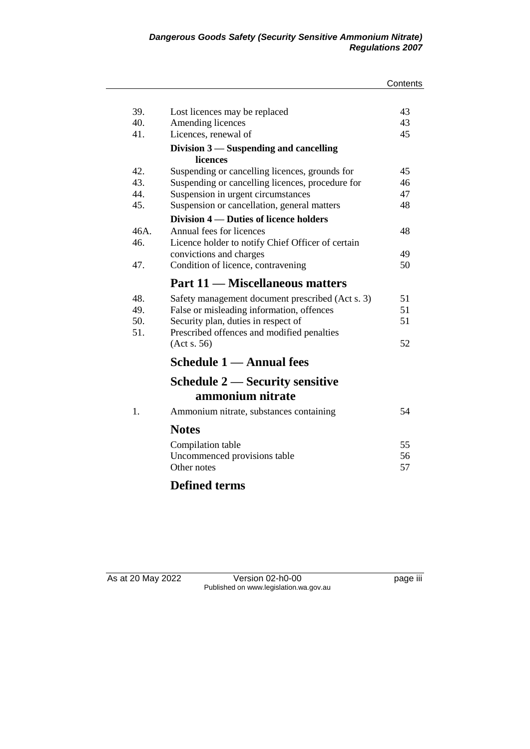| 39.     | Lost licences may be replaced                     | 43 |
|---------|---------------------------------------------------|----|
| 40.     | Amending licences                                 | 43 |
| 41.     | Licences, renewal of                              | 45 |
|         | Division 3 – Suspending and cancelling            |    |
|         | licences                                          |    |
| 42.     | Suspending or cancelling licences, grounds for    | 45 |
| 43.     | Suspending or cancelling licences, procedure for  | 46 |
| 44.     | Suspension in urgent circumstances                | 47 |
| 45.     | Suspension or cancellation, general matters       | 48 |
|         | Division 4 – Duties of licence holders            |    |
| $46A$ . | Annual fees for licences                          | 48 |
| 46.     | Licence holder to notify Chief Officer of certain |    |
|         | convictions and charges                           | 49 |
| 47.     | Condition of licence, contravening                | 50 |
|         | <b>Part 11 – Miscellaneous matters</b>            |    |
| 48.     | Safety management document prescribed (Act s. 3)  | 51 |
| 49.     | False or misleading information, offences         | 51 |
| 50.     | Security plan, duties in respect of               | 51 |
| 51.     | Prescribed offences and modified penalties        |    |
|         | (Acts. 56)                                        | 52 |
|         | Schedule 1 — Annual fees                          |    |
|         | Schedule 2 — Security sensitive                   |    |
|         | ammonium nitrate                                  |    |
| 1.      | Ammonium nitrate, substances containing           | 54 |
|         | <b>Notes</b>                                      |    |
|         | Compilation table                                 | 55 |
|         | Uncommenced provisions table                      | 56 |
|         | Other notes                                       | 57 |
|         | <b>Defined terms</b>                              |    |

As at 20 May 2022 Version 02-h0-00 page iii Published on www.legislation.wa.gov.au

**Contents**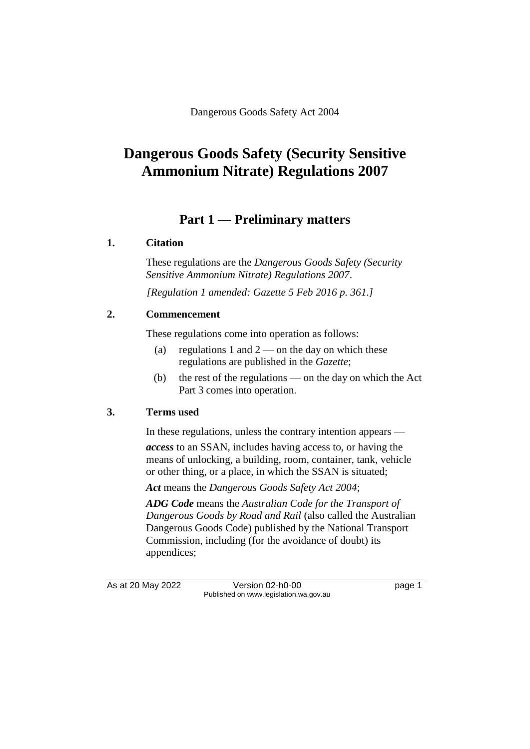# **Dangerous Goods Safety (Security Sensitive Ammonium Nitrate) Regulations 2007**

# **Part 1 — Preliminary matters**

### **1. Citation**

These regulations are the *Dangerous Goods Safety (Security Sensitive Ammonium Nitrate) Regulations 2007*.

*[Regulation 1 amended: Gazette 5 Feb 2016 p. 361.]*

### **2. Commencement**

These regulations come into operation as follows:

- (a) regulations 1 and  $2$  on the day on which these regulations are published in the *Gazette*;
- (b) the rest of the regulations on the day on which the Act Part 3 comes into operation.

### **3. Terms used**

In these regulations, unless the contrary intention appears —

*access* to an SSAN, includes having access to, or having the means of unlocking, a building, room, container, tank, vehicle or other thing, or a place, in which the SSAN is situated;

*Act* means the *Dangerous Goods Safety Act 2004*;

*ADG Code* means the *Australian Code for the Transport of Dangerous Goods by Road and Rail* (also called the Australian Dangerous Goods Code) published by the National Transport Commission, including (for the avoidance of doubt) its appendices;

As at 20 May 2022 Version 02-h0-00 Page 1 Published on www.legislation.wa.gov.au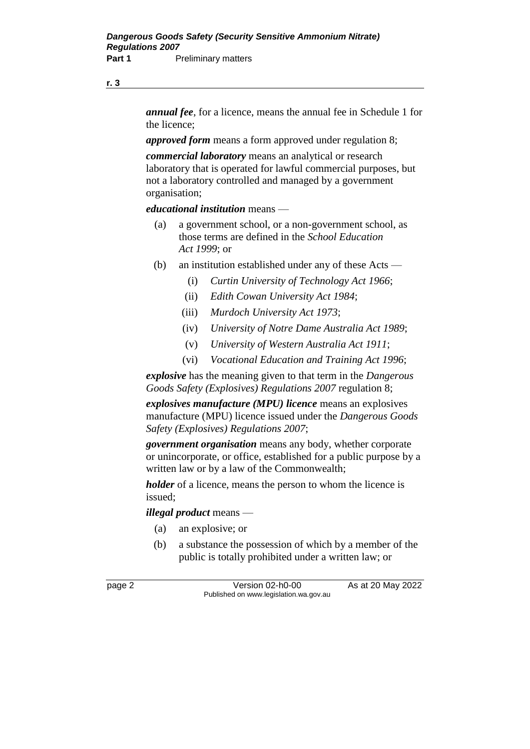**r. 3**

*annual fee*, for a licence, means the annual fee in Schedule 1 for the licence;

*approved form* means a form approved under regulation 8;

*commercial laboratory* means an analytical or research laboratory that is operated for lawful commercial purposes, but not a laboratory controlled and managed by a government organisation;

*educational institution* means —

- (a) a government school, or a non-government school, as those terms are defined in the *School Education Act 1999*; or
- (b) an institution established under any of these Acts
	- (i) *Curtin University of Technology Act 1966*;
	- (ii) *Edith Cowan University Act 1984*;
	- (iii) *Murdoch University Act 1973*;
	- (iv) *University of Notre Dame Australia Act 1989*;
	- (v) *University of Western Australia Act 1911*;
	- (vi) *Vocational Education and Training Act 1996*;

*explosive* has the meaning given to that term in the *Dangerous Goods Safety (Explosives) Regulations 2007* regulation 8;

*explosives manufacture (MPU) licence* means an explosives manufacture (MPU) licence issued under the *Dangerous Goods Safety (Explosives) Regulations 2007*;

*government organisation* means any body, whether corporate or unincorporate, or office, established for a public purpose by a written law or by a law of the Commonwealth;

*holder* of a licence, means the person to whom the licence is issued;

*illegal product* means —

- (a) an explosive; or
- (b) a substance the possession of which by a member of the public is totally prohibited under a written law; or

page 2 Version 02-h0-00 As at 20 May 2022 Published on www.legislation.wa.gov.au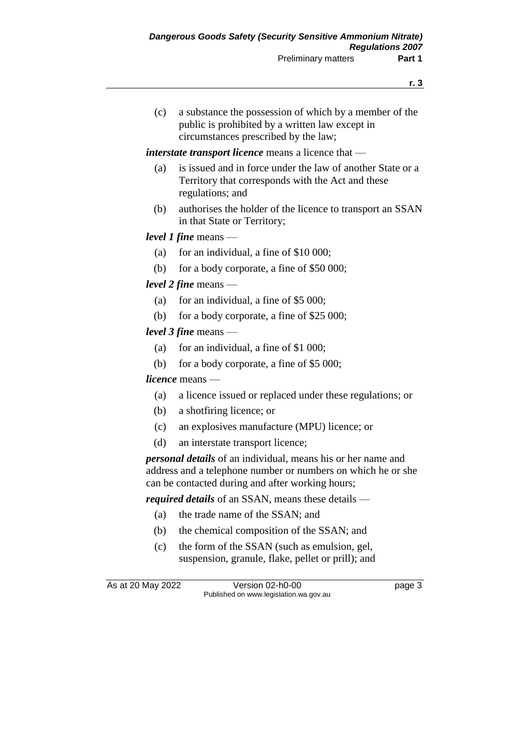(c) a substance the possession of which by a member of the public is prohibited by a written law except in circumstances prescribed by the law;

#### *interstate transport licence* means a licence that —

- (a) is issued and in force under the law of another State or a Territory that corresponds with the Act and these regulations; and
- (b) authorises the holder of the licence to transport an SSAN in that State or Territory;

### *level 1 fine* means —

- (a) for an individual, a fine of  $$10,000$ ;
- (b) for a body corporate, a fine of \$50 000;

### *level 2 fine* means —

- (a) for an individual, a fine of  $$5,000$ ;
- (b) for a body corporate, a fine of \$25 000;

### *level 3 fine* means —

- (a) for an individual, a fine of \$1 000;
- (b) for a body corporate, a fine of \$5 000;

#### *licence* means —

- (a) a licence issued or replaced under these regulations; or
- (b) a shotfiring licence; or
- (c) an explosives manufacture (MPU) licence; or
- (d) an interstate transport licence;

*personal details* of an individual, means his or her name and address and a telephone number or numbers on which he or she can be contacted during and after working hours;

*required details* of an SSAN, means these details —

- (a) the trade name of the SSAN; and
- (b) the chemical composition of the SSAN; and
- (c) the form of the SSAN (such as emulsion, gel, suspension, granule, flake, pellet or prill); and

As at 20 May 2022 Version 02-h0-00 Page 3 Published on www.legislation.wa.gov.au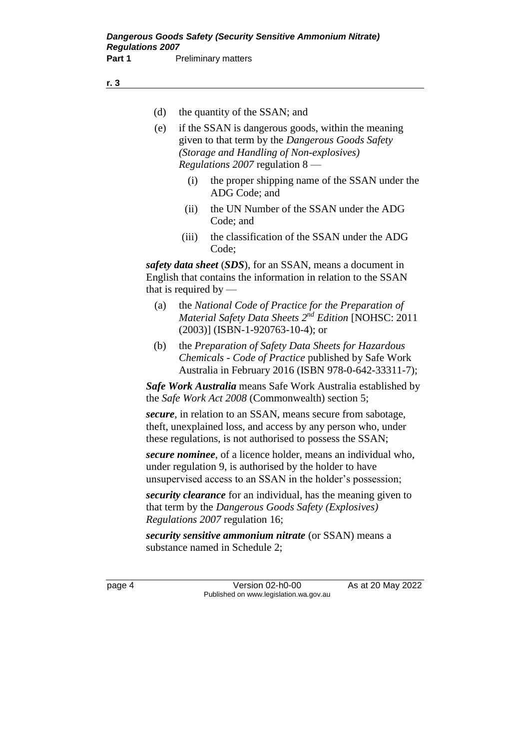- (d) the quantity of the SSAN; and
- (e) if the SSAN is dangerous goods, within the meaning given to that term by the *Dangerous Goods Safety (Storage and Handling of Non-explosives) Regulations 2007* regulation 8 —
	- (i) the proper shipping name of the SSAN under the ADG Code; and
	- (ii) the UN Number of the SSAN under the ADG Code; and
	- (iii) the classification of the SSAN under the ADG Code;

*safety data sheet* (*SDS*), for an SSAN, means a document in English that contains the information in relation to the SSAN that is required by —

- (a) the *National Code of Practice for the Preparation of Material Safety Data Sheets 2 nd Edition* [NOHSC: 2011 (2003)] (ISBN-1-920763-10-4); or
- (b) the *Preparation of Safety Data Sheets for Hazardous Chemicals* - *Code of Practice* published by Safe Work Australia in February 2016 (ISBN 978-0-642-33311-7);

*Safe Work Australia* means Safe Work Australia established by the *Safe Work Act 2008* (Commonwealth) section 5;

*secure*, in relation to an SSAN, means secure from sabotage, theft, unexplained loss, and access by any person who, under these regulations, is not authorised to possess the SSAN;

*secure nominee*, of a licence holder, means an individual who, under regulation 9, is authorised by the holder to have unsupervised access to an SSAN in the holder's possession;

*security clearance* for an individual, has the meaning given to that term by the *Dangerous Goods Safety (Explosives) Regulations 2007* regulation 16;

*security sensitive ammonium nitrate* (or SSAN) means a substance named in Schedule 2;

page 4 Version 02-h0-00 As at 20 May 2022 Published on www.legislation.wa.gov.au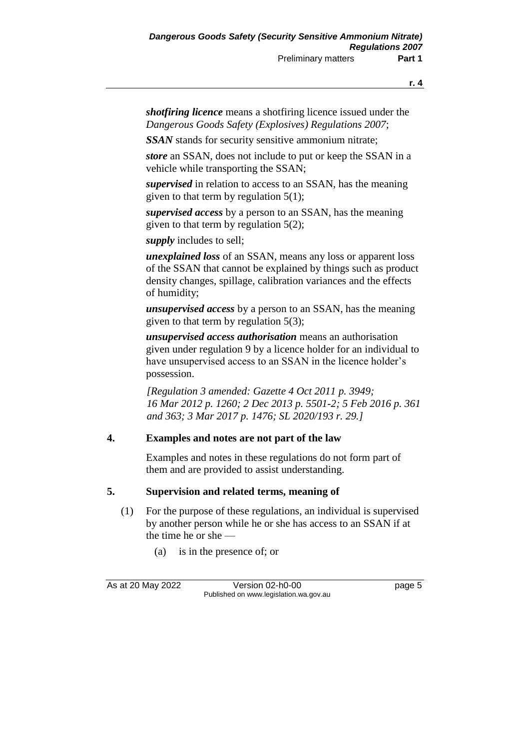*shotfiring licence* means a shotfiring licence issued under the *Dangerous Goods Safety (Explosives) Regulations 2007*;

*SSAN* stands for security sensitive ammonium nitrate;

*store* an SSAN, does not include to put or keep the SSAN in a vehicle while transporting the SSAN;

*supervised* in relation to access to an SSAN, has the meaning given to that term by regulation 5(1);

*supervised access* by a person to an SSAN, has the meaning given to that term by regulation 5(2);

*supply* includes to sell;

*unexplained loss* of an SSAN, means any loss or apparent loss of the SSAN that cannot be explained by things such as product density changes, spillage, calibration variances and the effects of humidity;

*unsupervised access* by a person to an SSAN, has the meaning given to that term by regulation 5(3);

*unsupervised access authorisation* means an authorisation given under regulation 9 by a licence holder for an individual to have unsupervised access to an SSAN in the licence holder's possession.

*[Regulation 3 amended: Gazette 4 Oct 2011 p. 3949; 16 Mar 2012 p. 1260; 2 Dec 2013 p. 5501-2; 5 Feb 2016 p. 361 and 363; 3 Mar 2017 p. 1476; SL 2020/193 r. 29.]*

### **4. Examples and notes are not part of the law**

Examples and notes in these regulations do not form part of them and are provided to assist understanding.

### **5. Supervision and related terms, meaning of**

- (1) For the purpose of these regulations, an individual is supervised by another person while he or she has access to an SSAN if at the time he or she —
	- (a) is in the presence of; or

As at 20 May 2022 Version 02-h0-00 Page 5 Published on www.legislation.wa.gov.au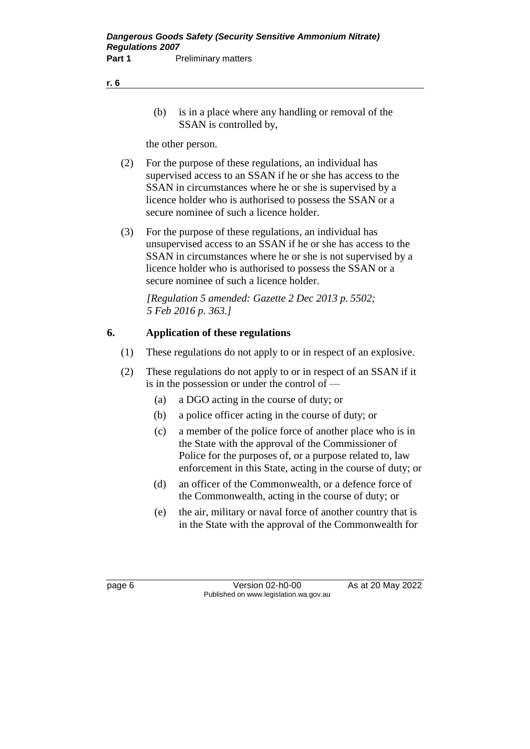- **r. 6**
- (b) is in a place where any handling or removal of the SSAN is controlled by,

the other person.

- (2) For the purpose of these regulations, an individual has supervised access to an SSAN if he or she has access to the SSAN in circumstances where he or she is supervised by a licence holder who is authorised to possess the SSAN or a secure nominee of such a licence holder.
- (3) For the purpose of these regulations, an individual has unsupervised access to an SSAN if he or she has access to the SSAN in circumstances where he or she is not supervised by a licence holder who is authorised to possess the SSAN or a secure nominee of such a licence holder.

*[Regulation 5 amended: Gazette 2 Dec 2013 p. 5502; 5 Feb 2016 p. 363.]*

### **6. Application of these regulations**

- (1) These regulations do not apply to or in respect of an explosive.
- (2) These regulations do not apply to or in respect of an SSAN if it is in the possession or under the control of —
	- (a) a DGO acting in the course of duty; or
	- (b) a police officer acting in the course of duty; or
	- (c) a member of the police force of another place who is in the State with the approval of the Commissioner of Police for the purposes of, or a purpose related to, law enforcement in this State, acting in the course of duty; or
	- (d) an officer of the Commonwealth, or a defence force of the Commonwealth, acting in the course of duty; or
	- (e) the air, military or naval force of another country that is in the State with the approval of the Commonwealth for

page 6 Version 02-h0-00 As at 20 May 2022 Published on www.legislation.wa.gov.au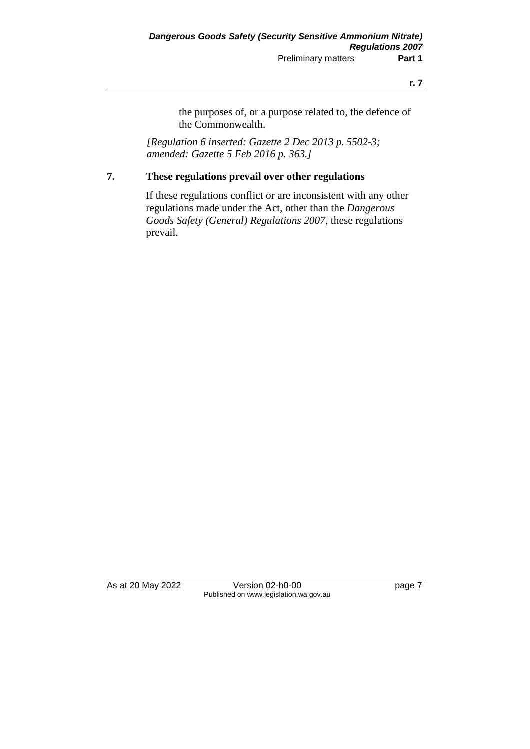**r. 7**

the purposes of, or a purpose related to, the defence of the Commonwealth.

*[Regulation 6 inserted: Gazette 2 Dec 2013 p. 5502-3; amended: Gazette 5 Feb 2016 p. 363.]*

### **7. These regulations prevail over other regulations**

If these regulations conflict or are inconsistent with any other regulations made under the Act, other than the *Dangerous Goods Safety (General) Regulations 2007*, these regulations prevail.

As at 20 May 2022 Version 02-h0-00 Page 7 Published on www.legislation.wa.gov.au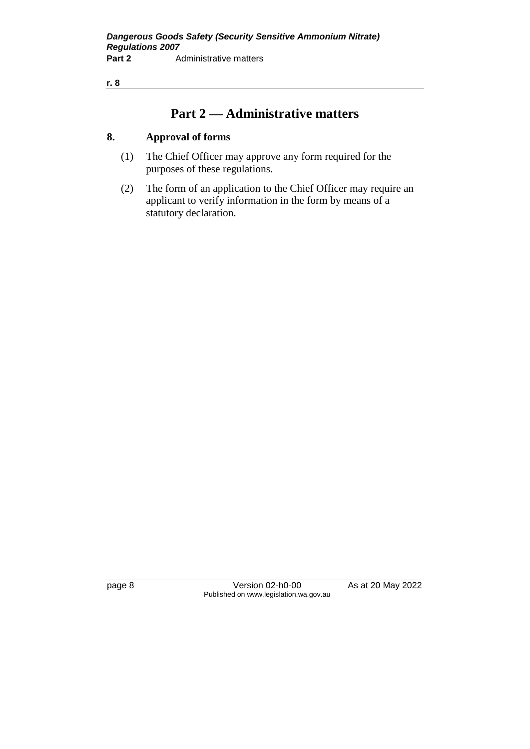**r. 8**

# **Part 2 — Administrative matters**

### **8. Approval of forms**

- (1) The Chief Officer may approve any form required for the purposes of these regulations.
- (2) The form of an application to the Chief Officer may require an applicant to verify information in the form by means of a statutory declaration.

page 8 Version 02-h0-00 As at 20 May 2022 Published on www.legislation.wa.gov.au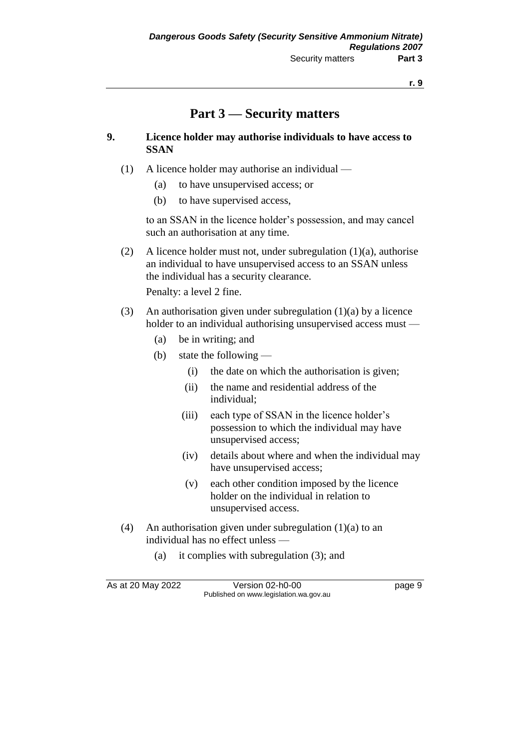# **Part 3 — Security matters**

#### **9. Licence holder may authorise individuals to have access to SSAN**

- (1) A licence holder may authorise an individual
	- (a) to have unsupervised access; or
	- (b) to have supervised access,

to an SSAN in the licence holder's possession, and may cancel such an authorisation at any time.

(2) A licence holder must not, under subregulation (1)(a), authorise an individual to have unsupervised access to an SSAN unless the individual has a security clearance.

Penalty: a level 2 fine.

- (3) An authorisation given under subregulation (1)(a) by a licence holder to an individual authorising unsupervised access must —
	- (a) be in writing; and
	- (b) state the following
		- (i) the date on which the authorisation is given;
		- (ii) the name and residential address of the individual;
		- (iii) each type of SSAN in the licence holder's possession to which the individual may have unsupervised access;
		- (iv) details about where and when the individual may have unsupervised access;
		- (v) each other condition imposed by the licence holder on the individual in relation to unsupervised access.
- (4) An authorisation given under subregulation (1)(a) to an individual has no effect unless —
	- (a) it complies with subregulation (3); and

As at 20 May 2022 Version 02-h0-00 Page 9 Published on www.legislation.wa.gov.au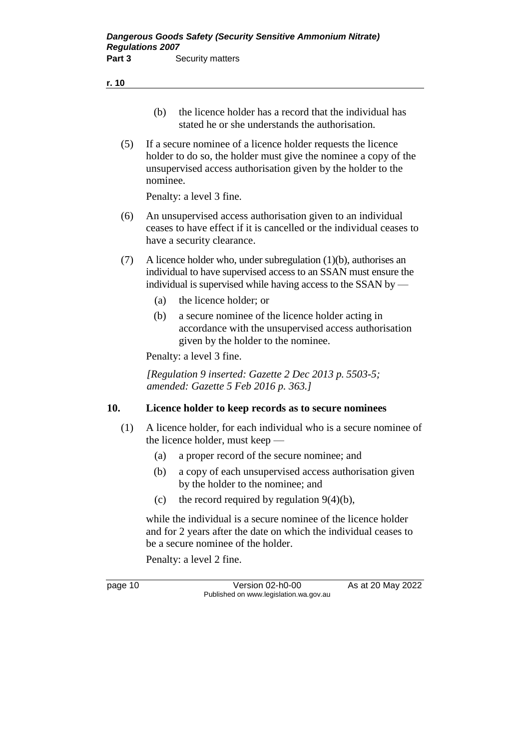- (b) the licence holder has a record that the individual has stated he or she understands the authorisation.
- (5) If a secure nominee of a licence holder requests the licence holder to do so, the holder must give the nominee a copy of the unsupervised access authorisation given by the holder to the nominee.

Penalty: a level 3 fine.

- (6) An unsupervised access authorisation given to an individual ceases to have effect if it is cancelled or the individual ceases to have a security clearance.
- (7) A licence holder who, under subregulation (1)(b), authorises an individual to have supervised access to an SSAN must ensure the individual is supervised while having access to the SSAN by —
	- (a) the licence holder; or
	- (b) a secure nominee of the licence holder acting in accordance with the unsupervised access authorisation given by the holder to the nominee.

Penalty: a level 3 fine.

*[Regulation 9 inserted: Gazette 2 Dec 2013 p. 5503-5; amended: Gazette 5 Feb 2016 p. 363.]*

#### **10. Licence holder to keep records as to secure nominees**

- (1) A licence holder, for each individual who is a secure nominee of the licence holder, must keep —
	- (a) a proper record of the secure nominee; and
	- (b) a copy of each unsupervised access authorisation given by the holder to the nominee; and
	- (c) the record required by regulation  $9(4)(b)$ ,

while the individual is a secure nominee of the licence holder and for 2 years after the date on which the individual ceases to be a secure nominee of the holder.

Penalty: a level 2 fine.

page 10 Version 02-h0-00 As at 20 May 2022 Published on www.legislation.wa.gov.au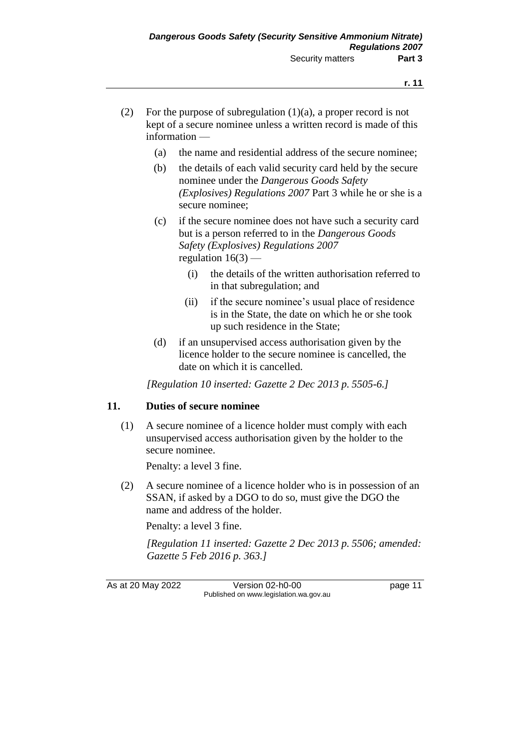- (2) For the purpose of subregulation  $(1)(a)$ , a proper record is not kept of a secure nominee unless a written record is made of this information —
	- (a) the name and residential address of the secure nominee;
	- (b) the details of each valid security card held by the secure nominee under the *Dangerous Goods Safety (Explosives) Regulations 2007* Part 3 while he or she is a secure nominee;
	- (c) if the secure nominee does not have such a security card but is a person referred to in the *Dangerous Goods Safety (Explosives) Regulations 2007* regulation  $16(3)$  —
		- (i) the details of the written authorisation referred to in that subregulation; and
		- (ii) if the secure nominee's usual place of residence is in the State, the date on which he or she took up such residence in the State;
	- (d) if an unsupervised access authorisation given by the licence holder to the secure nominee is cancelled, the date on which it is cancelled.

*[Regulation 10 inserted: Gazette 2 Dec 2013 p. 5505-6.]*

#### **11. Duties of secure nominee**

(1) A secure nominee of a licence holder must comply with each unsupervised access authorisation given by the holder to the secure nominee.

Penalty: a level 3 fine.

(2) A secure nominee of a licence holder who is in possession of an SSAN, if asked by a DGO to do so, must give the DGO the name and address of the holder.

Penalty: a level 3 fine.

*[Regulation 11 inserted: Gazette 2 Dec 2013 p. 5506; amended: Gazette 5 Feb 2016 p. 363.]*

As at 20 May 2022 Version 02-h0-00 page 11 Published on www.legislation.wa.gov.au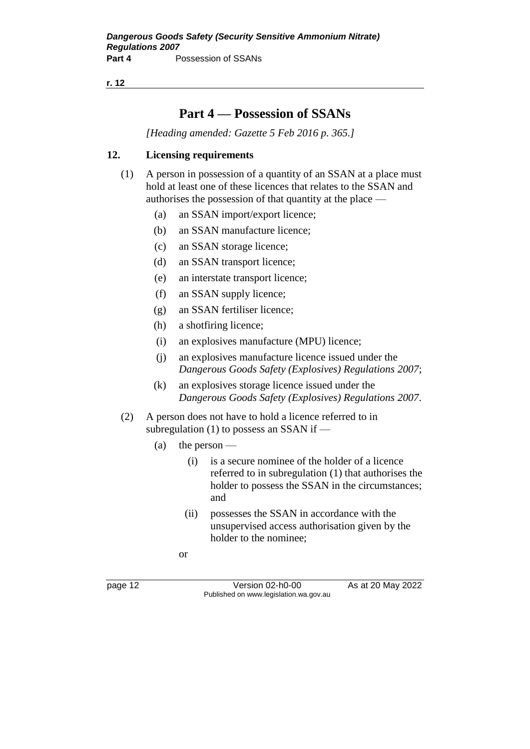**r. 12**

# **Part 4 — Possession of SSANs**

*[Heading amended: Gazette 5 Feb 2016 p. 365.]*

### **12. Licensing requirements**

- (1) A person in possession of a quantity of an SSAN at a place must hold at least one of these licences that relates to the SSAN and authorises the possession of that quantity at the place —
	- (a) an SSAN import/export licence;
	- (b) an SSAN manufacture licence;
	- (c) an SSAN storage licence;
	- (d) an SSAN transport licence;
	- (e) an interstate transport licence;
	- (f) an SSAN supply licence;
	- (g) an SSAN fertiliser licence;
	- (h) a shotfiring licence;
	- (i) an explosives manufacture (MPU) licence;
	- (j) an explosives manufacture licence issued under the *Dangerous Goods Safety (Explosives) Regulations 2007*;
	- (k) an explosives storage licence issued under the *Dangerous Goods Safety (Explosives) Regulations 2007*.
- (2) A person does not have to hold a licence referred to in subregulation (1) to possess an SSAN if —
	- (a) the person
		- (i) is a secure nominee of the holder of a licence referred to in subregulation (1) that authorises the holder to possess the SSAN in the circumstances; and
		- (ii) possesses the SSAN in accordance with the unsupervised access authorisation given by the holder to the nominee;

or

page 12 Version 02-h0-00 As at 20 May 2022 Published on www.legislation.wa.gov.au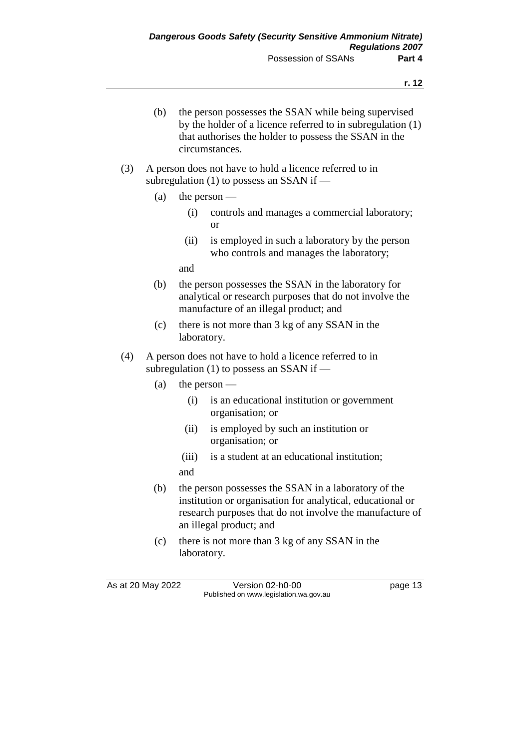- (b) the person possesses the SSAN while being supervised by the holder of a licence referred to in subregulation (1) that authorises the holder to possess the SSAN in the circumstances.
- (3) A person does not have to hold a licence referred to in subregulation (1) to possess an SSAN if —
	- (a) the person
		- (i) controls and manages a commercial laboratory; or
		- (ii) is employed in such a laboratory by the person who controls and manages the laboratory;

and

- (b) the person possesses the SSAN in the laboratory for analytical or research purposes that do not involve the manufacture of an illegal product; and
- (c) there is not more than 3 kg of any SSAN in the laboratory.
- (4) A person does not have to hold a licence referred to in subregulation (1) to possess an SSAN if —
	- (a) the person
		- (i) is an educational institution or government organisation; or
		- (ii) is employed by such an institution or organisation; or
		- (iii) is a student at an educational institution; and
	- (b) the person possesses the SSAN in a laboratory of the institution or organisation for analytical, educational or research purposes that do not involve the manufacture of an illegal product; and
	- (c) there is not more than 3 kg of any SSAN in the laboratory.

As at 20 May 2022 Version 02-h0-00 page 13 Published on www.legislation.wa.gov.au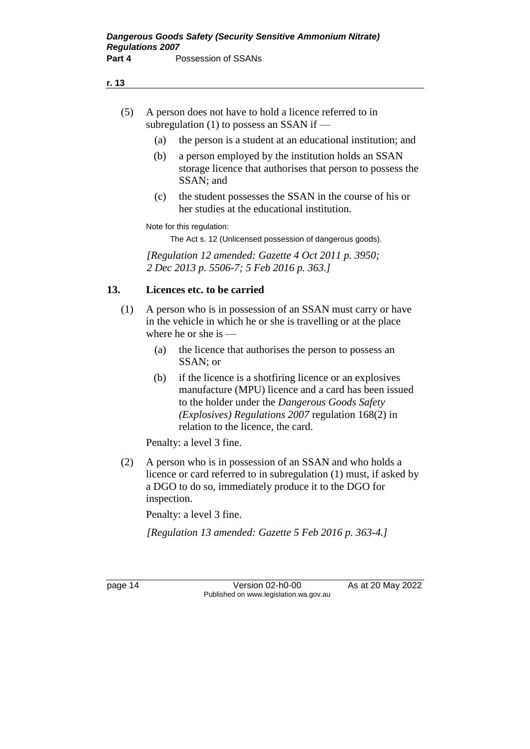- (5) A person does not have to hold a licence referred to in subregulation (1) to possess an SSAN if  $-$ 
	- (a) the person is a student at an educational institution; and
	- (b) a person employed by the institution holds an SSAN storage licence that authorises that person to possess the SSAN; and
	- (c) the student possesses the SSAN in the course of his or her studies at the educational institution.

Note for this regulation:

The Act s. 12 (Unlicensed possession of dangerous goods).

*[Regulation 12 amended: Gazette 4 Oct 2011 p. 3950; 2 Dec 2013 p. 5506-7; 5 Feb 2016 p. 363.]*

#### **13. Licences etc. to be carried**

- (1) A person who is in possession of an SSAN must carry or have in the vehicle in which he or she is travelling or at the place where he or she is —
	- (a) the licence that authorises the person to possess an SSAN; or
	- (b) if the licence is a shotfiring licence or an explosives manufacture (MPU) licence and a card has been issued to the holder under the *Dangerous Goods Safety (Explosives) Regulations 2007* regulation 168(2) in relation to the licence, the card.

Penalty: a level 3 fine.

(2) A person who is in possession of an SSAN and who holds a licence or card referred to in subregulation (1) must, if asked by a DGO to do so, immediately produce it to the DGO for inspection.

Penalty: a level 3 fine.

*[Regulation 13 amended: Gazette 5 Feb 2016 p. 363-4.]*

page 14 Version 02-h0-00 As at 20 May 2022 Published on www.legislation.wa.gov.au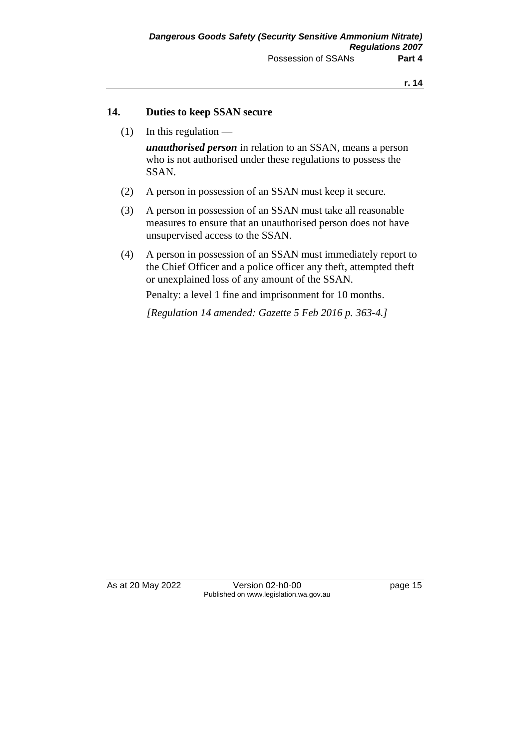### **14. Duties to keep SSAN secure**

 $(1)$  In this regulation —

*unauthorised person* in relation to an SSAN, means a person who is not authorised under these regulations to possess the SSAN.

- (2) A person in possession of an SSAN must keep it secure.
- (3) A person in possession of an SSAN must take all reasonable measures to ensure that an unauthorised person does not have unsupervised access to the SSAN.
- (4) A person in possession of an SSAN must immediately report to the Chief Officer and a police officer any theft, attempted theft or unexplained loss of any amount of the SSAN.

Penalty: a level 1 fine and imprisonment for 10 months.

*[Regulation 14 amended: Gazette 5 Feb 2016 p. 363-4.]*

As at 20 May 2022 Version 02-h0-00 Page 15 Published on www.legislation.wa.gov.au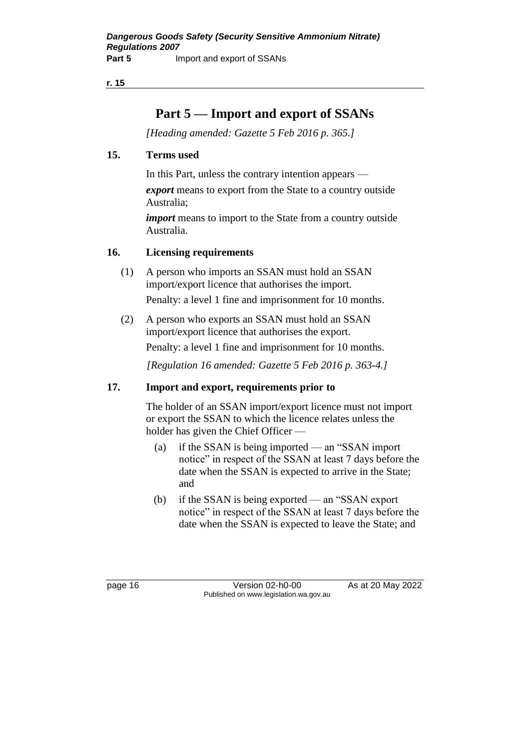**r. 15**

# **Part 5 — Import and export of SSANs**

*[Heading amended: Gazette 5 Feb 2016 p. 365.]*

### **15. Terms used**

In this Part, unless the contrary intention appears —

*export* means to export from the State to a country outside Australia;

*import* means to import to the State from a country outside Australia.

### **16. Licensing requirements**

- (1) A person who imports an SSAN must hold an SSAN import/export licence that authorises the import. Penalty: a level 1 fine and imprisonment for 10 months.
- (2) A person who exports an SSAN must hold an SSAN import/export licence that authorises the export.

Penalty: a level 1 fine and imprisonment for 10 months.

*[Regulation 16 amended: Gazette 5 Feb 2016 p. 363-4.]*

### **17. Import and export, requirements prior to**

The holder of an SSAN import/export licence must not import or export the SSAN to which the licence relates unless the holder has given the Chief Officer —

- (a) if the SSAN is being imported an "SSAN import notice" in respect of the SSAN at least 7 days before the date when the SSAN is expected to arrive in the State; and
- (b) if the SSAN is being exported an "SSAN export notice" in respect of the SSAN at least 7 days before the date when the SSAN is expected to leave the State; and

page 16 Version 02-h0-00 As at 20 May 2022 Published on www.legislation.wa.gov.au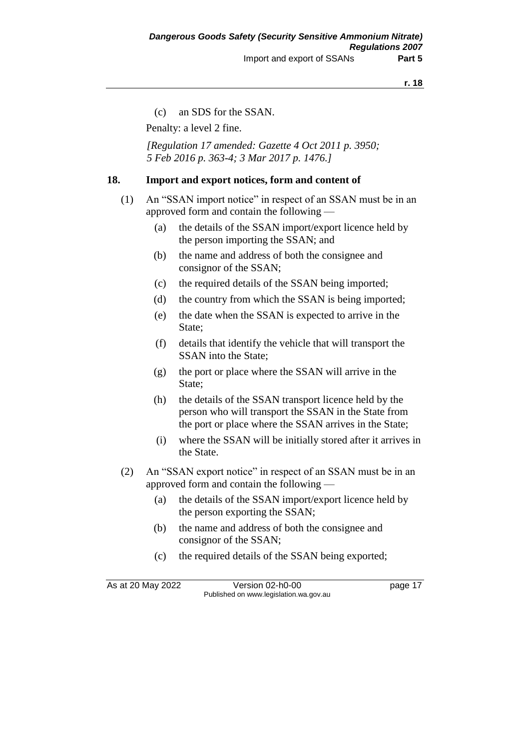#### **r. 18**

(c) an SDS for the SSAN.

Penalty: a level 2 fine.

*[Regulation 17 amended: Gazette 4 Oct 2011 p. 3950; 5 Feb 2016 p. 363-4; 3 Mar 2017 p. 1476.]*

#### **18. Import and export notices, form and content of**

- (1) An "SSAN import notice" in respect of an SSAN must be in an approved form and contain the following —
	- (a) the details of the SSAN import/export licence held by the person importing the SSAN; and
	- (b) the name and address of both the consignee and consignor of the SSAN;
	- (c) the required details of the SSAN being imported;
	- (d) the country from which the SSAN is being imported;
	- (e) the date when the SSAN is expected to arrive in the State;
	- (f) details that identify the vehicle that will transport the SSAN into the State;
	- (g) the port or place where the SSAN will arrive in the State;
	- (h) the details of the SSAN transport licence held by the person who will transport the SSAN in the State from the port or place where the SSAN arrives in the State;
	- (i) where the SSAN will be initially stored after it arrives in the State.
- (2) An "SSAN export notice" in respect of an SSAN must be in an approved form and contain the following —
	- (a) the details of the SSAN import/export licence held by the person exporting the SSAN;
	- (b) the name and address of both the consignee and consignor of the SSAN;
	- (c) the required details of the SSAN being exported;

As at 20 May 2022 Version 02-h0-00 Published on www.legislation.wa.gov.au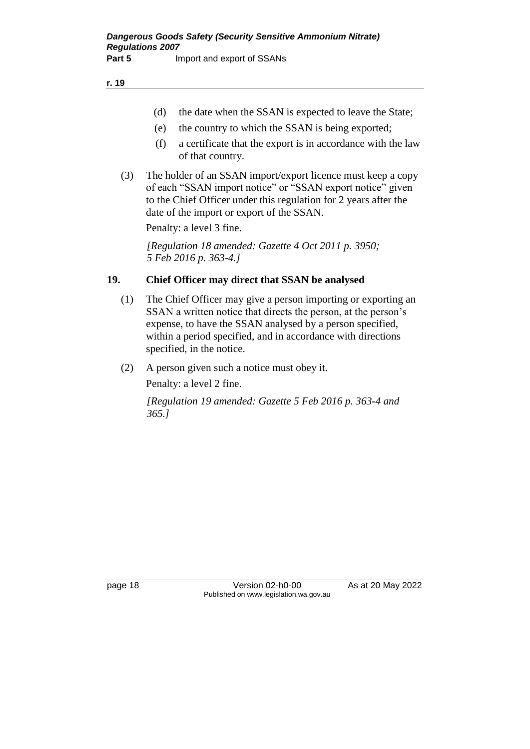- (d) the date when the SSAN is expected to leave the State;
- (e) the country to which the SSAN is being exported;
- (f) a certificate that the export is in accordance with the law of that country.
- (3) The holder of an SSAN import/export licence must keep a copy of each "SSAN import notice" or "SSAN export notice" given to the Chief Officer under this regulation for 2 years after the date of the import or export of the SSAN.

Penalty: a level 3 fine.

*[Regulation 18 amended: Gazette 4 Oct 2011 p. 3950; 5 Feb 2016 p. 363-4.]*

### **19. Chief Officer may direct that SSAN be analysed**

- (1) The Chief Officer may give a person importing or exporting an SSAN a written notice that directs the person, at the person's expense, to have the SSAN analysed by a person specified, within a period specified, and in accordance with directions specified, in the notice.
- (2) A person given such a notice must obey it.

Penalty: a level 2 fine.

*[Regulation 19 amended: Gazette 5 Feb 2016 p. 363-4 and 365.]*

page 18 Version 02-h0-00 As at 20 May 2022 Published on www.legislation.wa.gov.au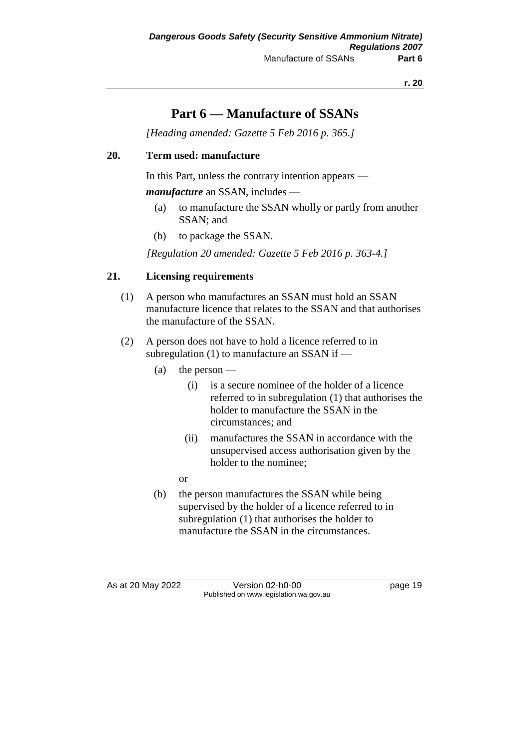# **Part 6 — Manufacture of SSANs**

*[Heading amended: Gazette 5 Feb 2016 p. 365.]*

### **20. Term used: manufacture**

In this Part, unless the contrary intention appears —

*manufacture* an SSAN, includes —

- (a) to manufacture the SSAN wholly or partly from another SSAN; and
- (b) to package the SSAN.

*[Regulation 20 amended: Gazette 5 Feb 2016 p. 363-4.]*

### **21. Licensing requirements**

- (1) A person who manufactures an SSAN must hold an SSAN manufacture licence that relates to the SSAN and that authorises the manufacture of the SSAN.
- (2) A person does not have to hold a licence referred to in subregulation (1) to manufacture an SSAN if —
	- (a) the person
		- (i) is a secure nominee of the holder of a licence referred to in subregulation (1) that authorises the holder to manufacture the SSAN in the circumstances; and
		- (ii) manufactures the SSAN in accordance with the unsupervised access authorisation given by the holder to the nominee;
		- or
	- (b) the person manufactures the SSAN while being supervised by the holder of a licence referred to in subregulation (1) that authorises the holder to manufacture the SSAN in the circumstances.

As at 20 May 2022 Version 02-h0-00 Published on www.legislation.wa.gov.au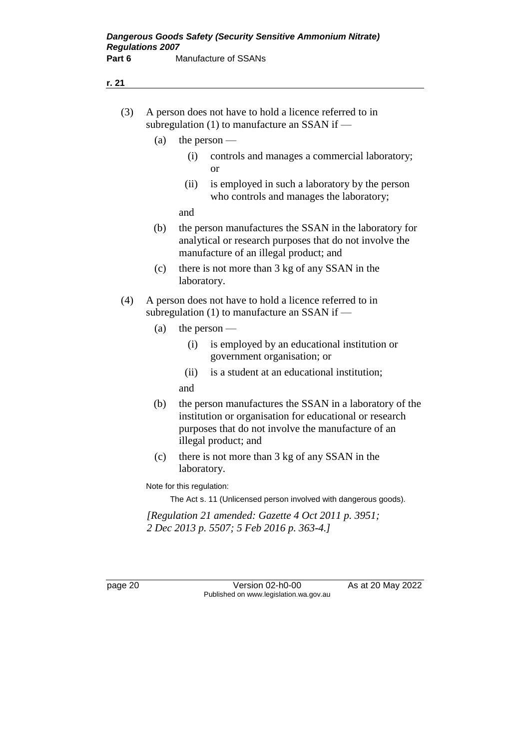| (3) | A person does not have to hold a licence referred to in |
|-----|---------------------------------------------------------|
|     | subregulation $(1)$ to manufacture an SSAN if —         |

- (a) the person
	- (i) controls and manages a commercial laboratory; or
	- (ii) is employed in such a laboratory by the person who controls and manages the laboratory;

and

- (b) the person manufactures the SSAN in the laboratory for analytical or research purposes that do not involve the manufacture of an illegal product; and
- (c) there is not more than 3 kg of any SSAN in the laboratory.
- (4) A person does not have to hold a licence referred to in subregulation (1) to manufacture an SSAN if —
	- (a) the person
		- (i) is employed by an educational institution or government organisation; or
		- (ii) is a student at an educational institution;
		- and
	- (b) the person manufactures the SSAN in a laboratory of the institution or organisation for educational or research purposes that do not involve the manufacture of an illegal product; and
	- (c) there is not more than 3 kg of any SSAN in the laboratory.

Note for this regulation:

The Act s. 11 (Unlicensed person involved with dangerous goods).

*[Regulation 21 amended: Gazette 4 Oct 2011 p. 3951; 2 Dec 2013 p. 5507; 5 Feb 2016 p. 363-4.]*

page 20 Version 02-h0-00 As at 20 May 2022 Published on www.legislation.wa.gov.au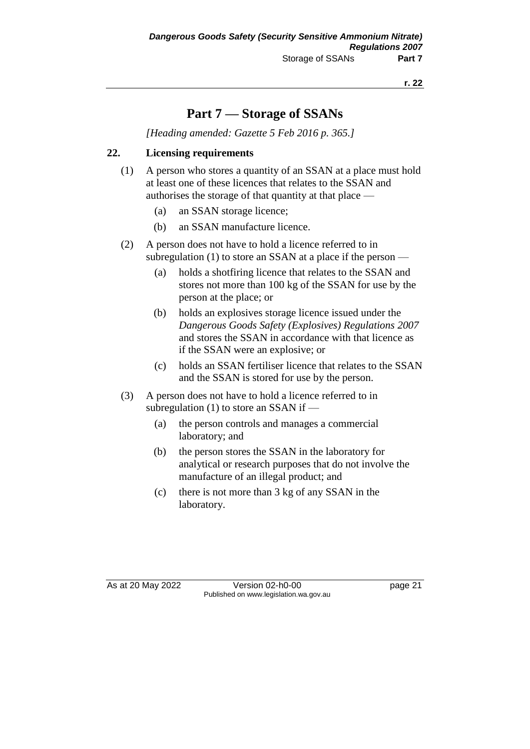# **Part 7 — Storage of SSANs**

*[Heading amended: Gazette 5 Feb 2016 p. 365.]*

### **22. Licensing requirements**

- (1) A person who stores a quantity of an SSAN at a place must hold at least one of these licences that relates to the SSAN and authorises the storage of that quantity at that place —
	- (a) an SSAN storage licence;
	- (b) an SSAN manufacture licence.
- (2) A person does not have to hold a licence referred to in subregulation (1) to store an SSAN at a place if the person —
	- (a) holds a shotfiring licence that relates to the SSAN and stores not more than 100 kg of the SSAN for use by the person at the place; or
	- (b) holds an explosives storage licence issued under the *Dangerous Goods Safety (Explosives) Regulations 2007*  and stores the SSAN in accordance with that licence as if the SSAN were an explosive; or
	- (c) holds an SSAN fertiliser licence that relates to the SSAN and the SSAN is stored for use by the person.
- (3) A person does not have to hold a licence referred to in subregulation (1) to store an SSAN if —
	- (a) the person controls and manages a commercial laboratory; and
	- (b) the person stores the SSAN in the laboratory for analytical or research purposes that do not involve the manufacture of an illegal product; and
	- (c) there is not more than 3 kg of any SSAN in the laboratory.

As at 20 May 2022 Version 02-h0-00 Published on www.legislation.wa.gov.au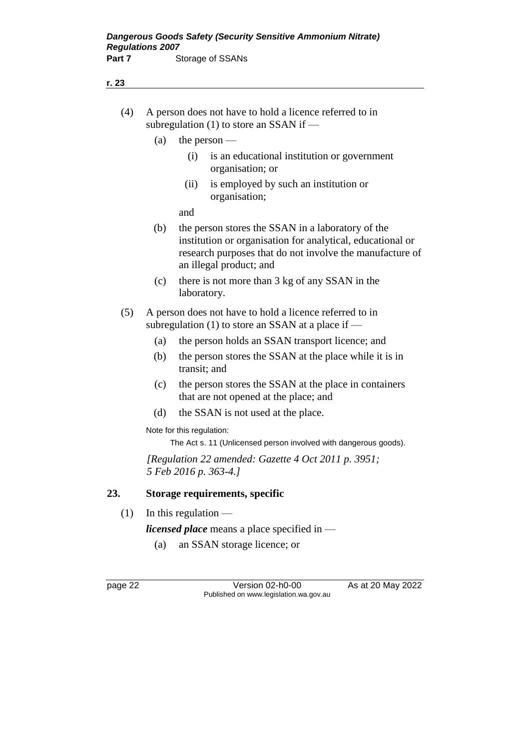| (4) A person does not have to hold a licence referred to in |
|-------------------------------------------------------------|
| subregulation $(1)$ to store an SSAN if —                   |

- (a) the person
	- (i) is an educational institution or government organisation; or
	- (ii) is employed by such an institution or organisation;

and

- (b) the person stores the SSAN in a laboratory of the institution or organisation for analytical, educational or research purposes that do not involve the manufacture of an illegal product; and
- (c) there is not more than 3 kg of any SSAN in the laboratory.
- (5) A person does not have to hold a licence referred to in subregulation  $(1)$  to store an SSAN at a place if —
	- (a) the person holds an SSAN transport licence; and
	- (b) the person stores the SSAN at the place while it is in transit; and
	- (c) the person stores the SSAN at the place in containers that are not opened at the place; and
	- (d) the SSAN is not used at the place.

Note for this regulation:

The Act s. 11 (Unlicensed person involved with dangerous goods).

*[Regulation 22 amended: Gazette 4 Oct 2011 p. 3951; 5 Feb 2016 p. 363-4.]*

### **23. Storage requirements, specific**

 $(1)$  In this regulation —

*licensed place* means a place specified in —

(a) an SSAN storage licence; or

page 22 Version 02-h0-00 As at 20 May 2022 Published on www.legislation.wa.gov.au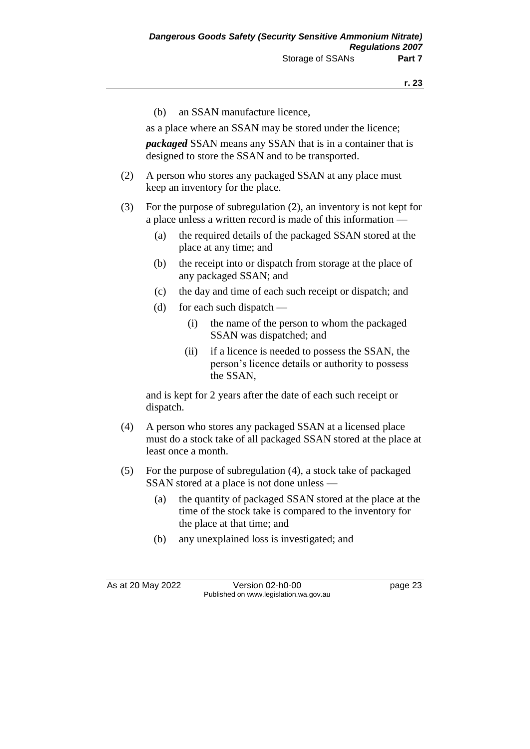(b) an SSAN manufacture licence,

as a place where an SSAN may be stored under the licence;

*packaged* SSAN means any SSAN that is in a container that is designed to store the SSAN and to be transported.

- (2) A person who stores any packaged SSAN at any place must keep an inventory for the place.
- (3) For the purpose of subregulation (2), an inventory is not kept for a place unless a written record is made of this information —
	- (a) the required details of the packaged SSAN stored at the place at any time; and
	- (b) the receipt into or dispatch from storage at the place of any packaged SSAN; and
	- (c) the day and time of each such receipt or dispatch; and
	- (d) for each such dispatch
		- (i) the name of the person to whom the packaged SSAN was dispatched; and
		- (ii) if a licence is needed to possess the SSAN, the person's licence details or authority to possess the SSAN,

and is kept for 2 years after the date of each such receipt or dispatch.

- (4) A person who stores any packaged SSAN at a licensed place must do a stock take of all packaged SSAN stored at the place at least once a month.
- (5) For the purpose of subregulation (4), a stock take of packaged SSAN stored at a place is not done unless —
	- (a) the quantity of packaged SSAN stored at the place at the time of the stock take is compared to the inventory for the place at that time; and
	- (b) any unexplained loss is investigated; and

As at 20 May 2022 Version 02-h0-00 page 23 Published on www.legislation.wa.gov.au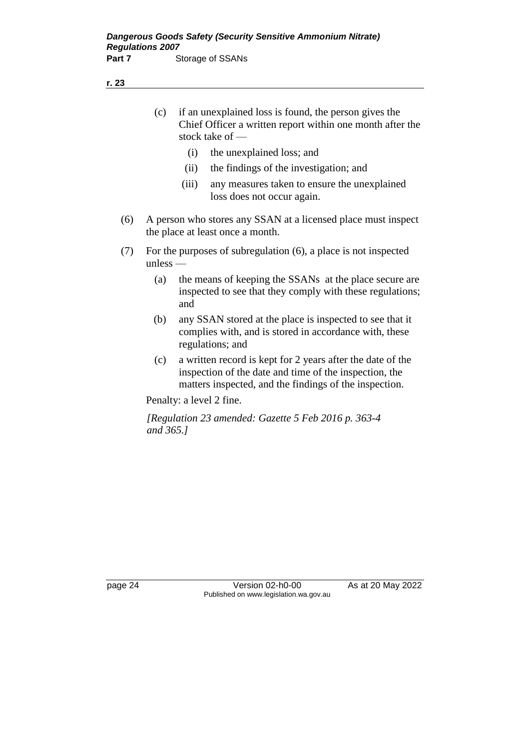- (c) if an unexplained loss is found, the person gives the Chief Officer a written report within one month after the stock take of —
	- (i) the unexplained loss; and
	- (ii) the findings of the investigation; and
	- (iii) any measures taken to ensure the unexplained loss does not occur again.
- (6) A person who stores any SSAN at a licensed place must inspect the place at least once a month.
- (7) For the purposes of subregulation (6), a place is not inspected unless —
	- (a) the means of keeping the SSANs at the place secure are inspected to see that they comply with these regulations; and
	- (b) any SSAN stored at the place is inspected to see that it complies with, and is stored in accordance with, these regulations; and
	- (c) a written record is kept for 2 years after the date of the inspection of the date and time of the inspection, the matters inspected, and the findings of the inspection.

Penalty: a level 2 fine.

*[Regulation 23 amended: Gazette 5 Feb 2016 p. 363-4 and 365.]*

page 24 Version 02-h0-00 As at 20 May 2022 Published on www.legislation.wa.gov.au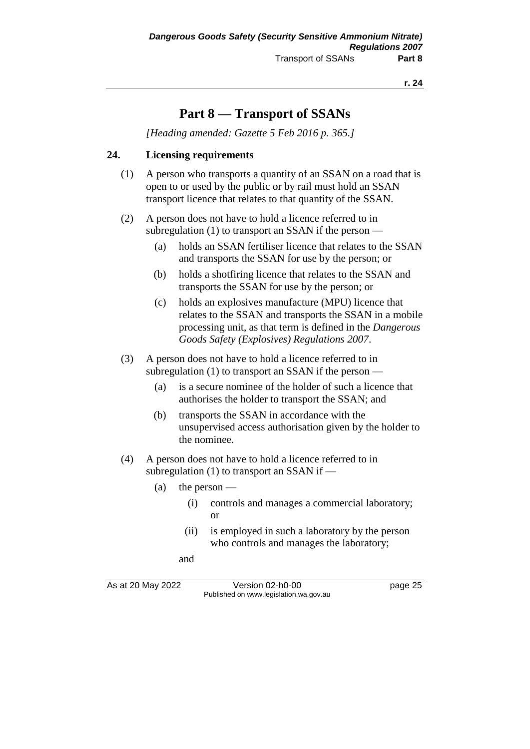**r. 24**

# **Part 8 — Transport of SSANs**

*[Heading amended: Gazette 5 Feb 2016 p. 365.]*

### **24. Licensing requirements**

- (1) A person who transports a quantity of an SSAN on a road that is open to or used by the public or by rail must hold an SSAN transport licence that relates to that quantity of the SSAN.
- (2) A person does not have to hold a licence referred to in subregulation  $(1)$  to transport an SSAN if the person —
	- (a) holds an SSAN fertiliser licence that relates to the SSAN and transports the SSAN for use by the person; or
	- (b) holds a shotfiring licence that relates to the SSAN and transports the SSAN for use by the person; or
	- (c) holds an explosives manufacture (MPU) licence that relates to the SSAN and transports the SSAN in a mobile processing unit, as that term is defined in the *Dangerous Goods Safety (Explosives) Regulations 2007*.
- (3) A person does not have to hold a licence referred to in subregulation (1) to transport an SSAN if the person —
	- (a) is a secure nominee of the holder of such a licence that authorises the holder to transport the SSAN; and
	- (b) transports the SSAN in accordance with the unsupervised access authorisation given by the holder to the nominee.
- (4) A person does not have to hold a licence referred to in subregulation (1) to transport an SSAN if —
	- (a) the person  $-$ 
		- (i) controls and manages a commercial laboratory; or
		- (ii) is employed in such a laboratory by the person who controls and manages the laboratory;
		- and

As at 20 May 2022 Version 02-h0-00 Published on www.legislation.wa.gov.au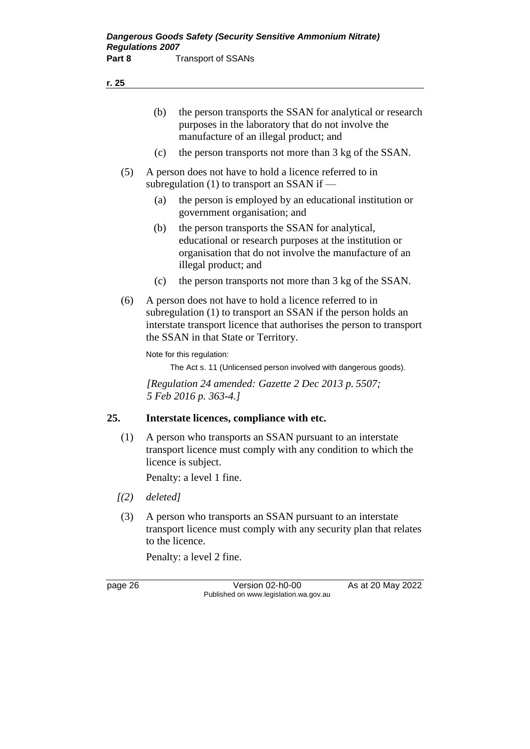| (b) | the person transports the SSAN for analytical or research |
|-----|-----------------------------------------------------------|
|     | purposes in the laboratory that do not involve the        |
|     | manufacture of an illegal product; and                    |

- (c) the person transports not more than 3 kg of the SSAN.
- (5) A person does not have to hold a licence referred to in subregulation (1) to transport an SSAN if —
	- (a) the person is employed by an educational institution or government organisation; and
	- (b) the person transports the SSAN for analytical, educational or research purposes at the institution or organisation that do not involve the manufacture of an illegal product; and
	- (c) the person transports not more than 3 kg of the SSAN.
- (6) A person does not have to hold a licence referred to in subregulation (1) to transport an SSAN if the person holds an interstate transport licence that authorises the person to transport the SSAN in that State or Territory.

Note for this regulation:

The Act s. 11 (Unlicensed person involved with dangerous goods).

*[Regulation 24 amended: Gazette 2 Dec 2013 p. 5507; 5 Feb 2016 p. 363-4.]*

#### **25. Interstate licences, compliance with etc.**

(1) A person who transports an SSAN pursuant to an interstate transport licence must comply with any condition to which the licence is subject.

Penalty: a level 1 fine.

- *[(2) deleted]*
- (3) A person who transports an SSAN pursuant to an interstate transport licence must comply with any security plan that relates to the licence.

Penalty: a level 2 fine.

page 26 Version 02-h0-00 As at 20 May 2022 Published on www.legislation.wa.gov.au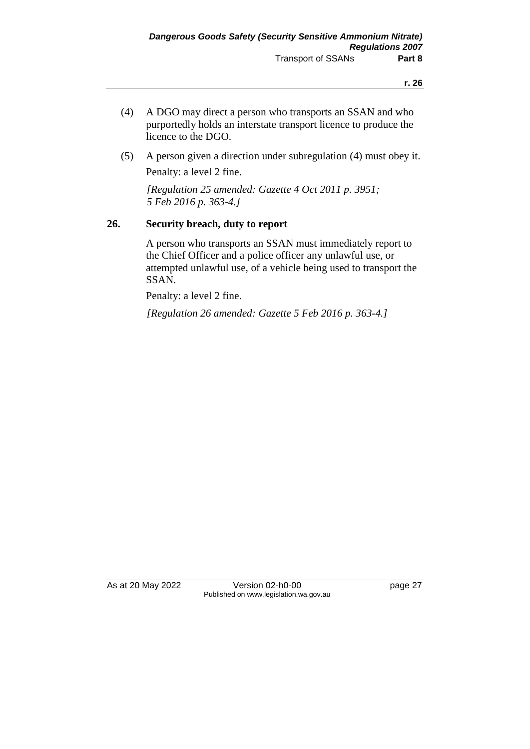- (4) A DGO may direct a person who transports an SSAN and who purportedly holds an interstate transport licence to produce the licence to the DGO.
- (5) A person given a direction under subregulation (4) must obey it. Penalty: a level 2 fine.

*[Regulation 25 amended: Gazette 4 Oct 2011 p. 3951; 5 Feb 2016 p. 363-4.]*

#### **26. Security breach, duty to report**

A person who transports an SSAN must immediately report to the Chief Officer and a police officer any unlawful use, or attempted unlawful use, of a vehicle being used to transport the SSAN.

Penalty: a level 2 fine.

*[Regulation 26 amended: Gazette 5 Feb 2016 p. 363-4.]*

As at 20 May 2022 Version 02-h0-00 page 27 Published on www.legislation.wa.gov.au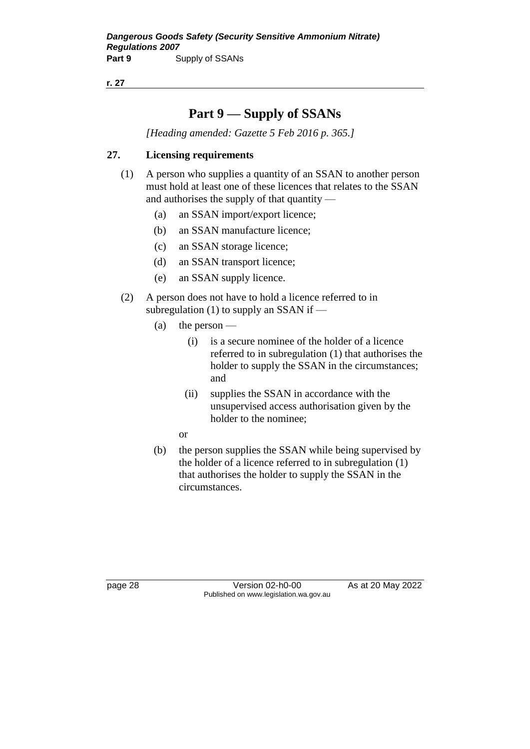**r. 27**

# **Part 9 — Supply of SSANs**

*[Heading amended: Gazette 5 Feb 2016 p. 365.]*

### **27. Licensing requirements**

- (1) A person who supplies a quantity of an SSAN to another person must hold at least one of these licences that relates to the SSAN and authorises the supply of that quantity —
	- (a) an SSAN import/export licence;
	- (b) an SSAN manufacture licence;
	- (c) an SSAN storage licence;
	- (d) an SSAN transport licence;
	- (e) an SSAN supply licence.
- (2) A person does not have to hold a licence referred to in subregulation (1) to supply an SSAN if  $-$ 
	- (a) the person
		- (i) is a secure nominee of the holder of a licence referred to in subregulation (1) that authorises the holder to supply the SSAN in the circumstances; and
		- (ii) supplies the SSAN in accordance with the unsupervised access authorisation given by the holder to the nominee;
		- or
	- (b) the person supplies the SSAN while being supervised by the holder of a licence referred to in subregulation (1) that authorises the holder to supply the SSAN in the circumstances.

page 28 Version 02-h0-00 As at 20 May 2022 Published on www.legislation.wa.gov.au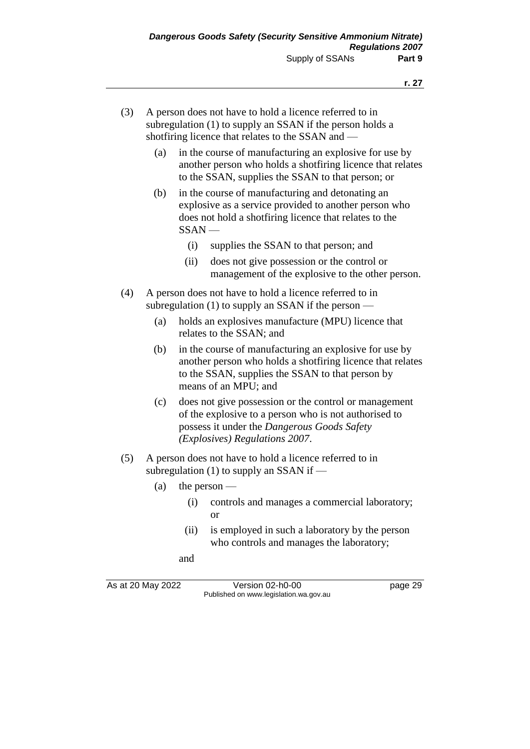| (3) | A person does not have to hold a licence referred to in   |
|-----|-----------------------------------------------------------|
|     | subregulation (1) to supply an SSAN if the person holds a |
|     | shotfiring licence that relates to the SSAN and —         |

- (a) in the course of manufacturing an explosive for use by another person who holds a shotfiring licence that relates to the SSAN, supplies the SSAN to that person; or
- (b) in the course of manufacturing and detonating an explosive as a service provided to another person who does not hold a shotfiring licence that relates to the SSAN —
	- (i) supplies the SSAN to that person; and
	- (ii) does not give possession or the control or management of the explosive to the other person.
- (4) A person does not have to hold a licence referred to in subregulation  $(1)$  to supply an SSAN if the person —
	- (a) holds an explosives manufacture (MPU) licence that relates to the SSAN; and
	- (b) in the course of manufacturing an explosive for use by another person who holds a shotfiring licence that relates to the SSAN, supplies the SSAN to that person by means of an MPU; and
	- (c) does not give possession or the control or management of the explosive to a person who is not authorised to possess it under the *Dangerous Goods Safety (Explosives) Regulations 2007*.
- (5) A person does not have to hold a licence referred to in subregulation  $(1)$  to supply an SSAN if —
	- (a) the person
		- (i) controls and manages a commercial laboratory; or
		- (ii) is employed in such a laboratory by the person who controls and manages the laboratory;

and

As at 20 May 2022 Version 02-h0-00 page 29 Published on www.legislation.wa.gov.au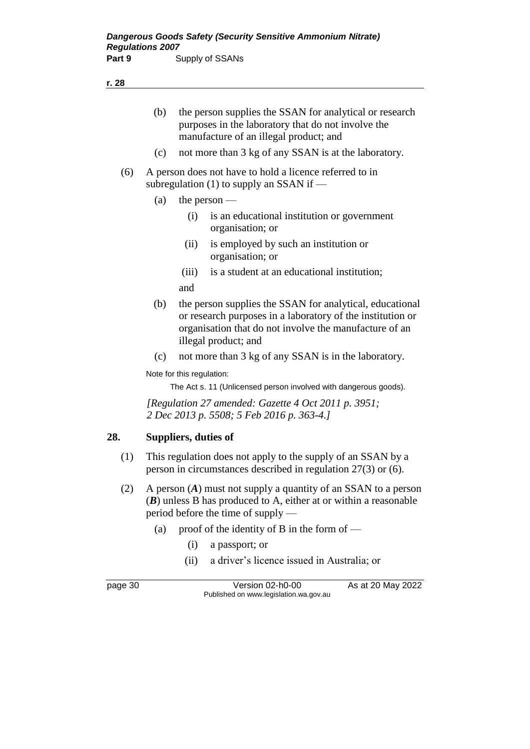- (b) the person supplies the SSAN for analytical or research purposes in the laboratory that do not involve the manufacture of an illegal product; and
- (c) not more than 3 kg of any SSAN is at the laboratory.
- (6) A person does not have to hold a licence referred to in subregulation  $(1)$  to supply an SSAN if —
	- (a) the person
		- (i) is an educational institution or government organisation; or
		- (ii) is employed by such an institution or organisation; or
		- (iii) is a student at an educational institution;

and

- (b) the person supplies the SSAN for analytical, educational or research purposes in a laboratory of the institution or organisation that do not involve the manufacture of an illegal product; and
- (c) not more than 3 kg of any SSAN is in the laboratory.

Note for this regulation:

The Act s. 11 (Unlicensed person involved with dangerous goods).

*[Regulation 27 amended: Gazette 4 Oct 2011 p. 3951; 2 Dec 2013 p. 5508; 5 Feb 2016 p. 363-4.]*

#### **28. Suppliers, duties of**

- (1) This regulation does not apply to the supply of an SSAN by a person in circumstances described in regulation 27(3) or (6).
- (2) A person (*A*) must not supply a quantity of an SSAN to a person (*B*) unless B has produced to A, either at or within a reasonable period before the time of supply —
	- (a) proof of the identity of B in the form of  $-$ 
		- (i) a passport; or
		- (ii) a driver's licence issued in Australia; or

page 30 Version 02-h0-00 As at 20 May 2022 Published on www.legislation.wa.gov.au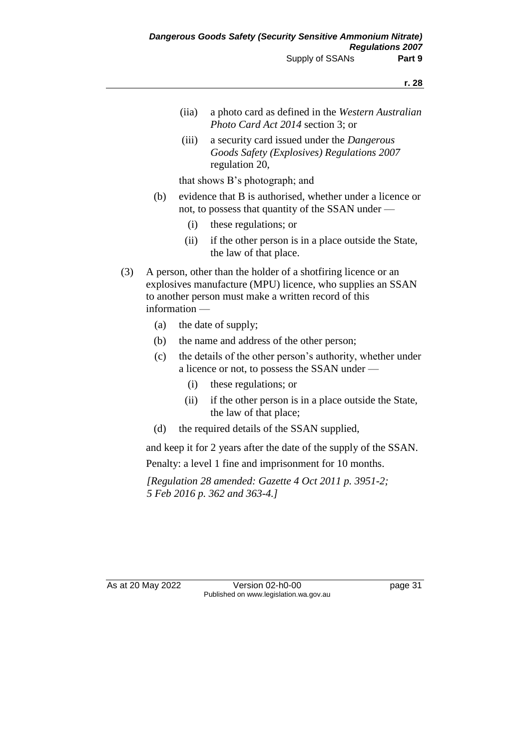- (iia) a photo card as defined in the *Western Australian Photo Card Act 2014* section 3; or
- (iii) a security card issued under the *Dangerous Goods Safety (Explosives) Regulations 2007*  regulation 20,

that shows B's photograph; and

- (b) evidence that B is authorised, whether under a licence or not, to possess that quantity of the SSAN under —
	- (i) these regulations; or
	- (ii) if the other person is in a place outside the State, the law of that place.
- (3) A person, other than the holder of a shotfiring licence or an explosives manufacture (MPU) licence, who supplies an SSAN to another person must make a written record of this information —
	- (a) the date of supply;
	- (b) the name and address of the other person;
	- (c) the details of the other person's authority, whether under a licence or not, to possess the SSAN under —
		- (i) these regulations; or
		- (ii) if the other person is in a place outside the State, the law of that place;
	- (d) the required details of the SSAN supplied,

and keep it for 2 years after the date of the supply of the SSAN. Penalty: a level 1 fine and imprisonment for 10 months.

*[Regulation 28 amended: Gazette 4 Oct 2011 p. 3951-2; 5 Feb 2016 p. 362 and 363-4.]*

As at 20 May 2022 Version 02-h0-00 page 31 Published on www.legislation.wa.gov.au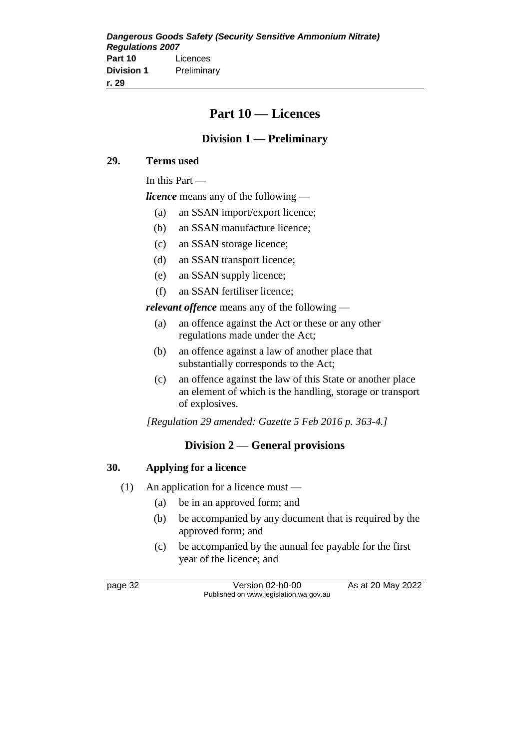# **Part 10 — Licences**

# **Division 1 — Preliminary**

### **29. Terms used**

In this Part —

*licence* means any of the following —

- (a) an SSAN import/export licence;
- (b) an SSAN manufacture licence;
- (c) an SSAN storage licence;
- (d) an SSAN transport licence;
- (e) an SSAN supply licence;
- (f) an SSAN fertiliser licence;

*relevant offence* means any of the following —

- (a) an offence against the Act or these or any other regulations made under the Act;
- (b) an offence against a law of another place that substantially corresponds to the Act;
- (c) an offence against the law of this State or another place an element of which is the handling, storage or transport of explosives.

*[Regulation 29 amended: Gazette 5 Feb 2016 p. 363-4.]*

### **Division 2 — General provisions**

### **30. Applying for a licence**

- (1) An application for a licence must
	- (a) be in an approved form; and
	- (b) be accompanied by any document that is required by the approved form; and
	- (c) be accompanied by the annual fee payable for the first year of the licence; and

page 32 Version 02-h0-00 As at 20 May 2022 Published on www.legislation.wa.gov.au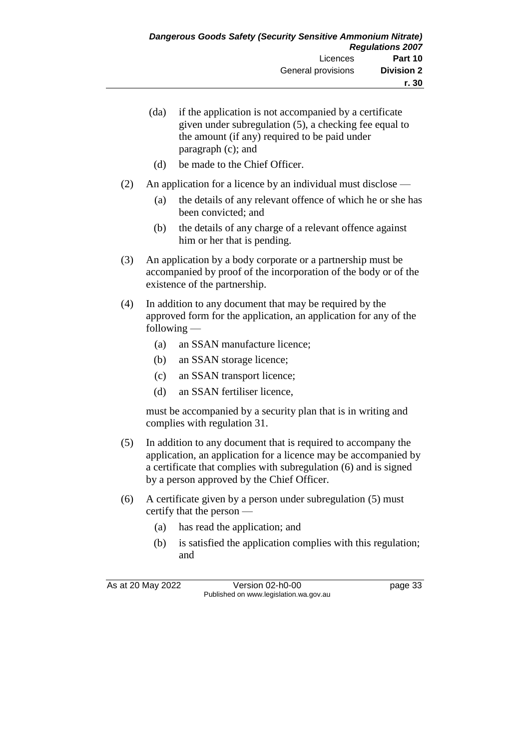|     | (da)<br>(d)                                                                                                                                                     | if the application is not accompanied by a certificate<br>given under subregulation (5), a checking fee equal to<br>the amount (if any) required to be paid under<br>paragraph (c); and<br>be made to the Chief Officer. |  |
|-----|-----------------------------------------------------------------------------------------------------------------------------------------------------------------|--------------------------------------------------------------------------------------------------------------------------------------------------------------------------------------------------------------------------|--|
|     |                                                                                                                                                                 |                                                                                                                                                                                                                          |  |
| (2) |                                                                                                                                                                 | An application for a licence by an individual must disclose —                                                                                                                                                            |  |
|     | (a)                                                                                                                                                             | the details of any relevant offence of which he or she has<br>been convicted; and                                                                                                                                        |  |
|     | (b)                                                                                                                                                             | the details of any charge of a relevant offence against<br>him or her that is pending.                                                                                                                                   |  |
| (3) | An application by a body corporate or a partnership must be<br>accompanied by proof of the incorporation of the body or of the<br>existence of the partnership. |                                                                                                                                                                                                                          |  |
| (4) | In addition to any document that may be required by the<br>approved form for the application, an application for any of the<br>following $-$                    |                                                                                                                                                                                                                          |  |
|     | (a)                                                                                                                                                             | an SSAN manufacture licence;                                                                                                                                                                                             |  |
|     | (b)                                                                                                                                                             | an SSAN storage licence;                                                                                                                                                                                                 |  |
|     | (c)                                                                                                                                                             | an SSAN transport licence;                                                                                                                                                                                               |  |
|     | (d)                                                                                                                                                             | an SSAN fertiliser licence,                                                                                                                                                                                              |  |
|     |                                                                                                                                                                 | must be accompanied by a security plan that is in writing and<br>complies with regulation 31.                                                                                                                            |  |
|     | .                                                                                                                                                               |                                                                                                                                                                                                                          |  |

- (5) In addition to any document that is required to accompany the application, an application for a licence may be accompanied by a certificate that complies with subregulation (6) and is signed by a person approved by the Chief Officer.
- (6) A certificate given by a person under subregulation (5) must certify that the person —
	- (a) has read the application; and
	- (b) is satisfied the application complies with this regulation; and

As at 20 May 2022 Version 02-h0-00 Page 33 Published on www.legislation.wa.gov.au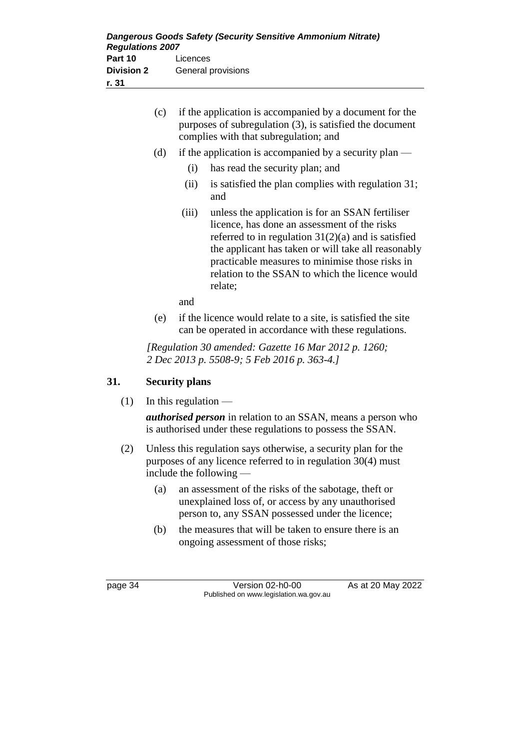| (c) | if the application is accompanied by a document for the<br>purposes of subregulation (3), is satisfied the document<br>complies with that subregulation; and |                                                                                                                                                                                                                                                                                                                                   |
|-----|--------------------------------------------------------------------------------------------------------------------------------------------------------------|-----------------------------------------------------------------------------------------------------------------------------------------------------------------------------------------------------------------------------------------------------------------------------------------------------------------------------------|
| (d) |                                                                                                                                                              | if the application is accompanied by a security plan $-$                                                                                                                                                                                                                                                                          |
|     | (i)                                                                                                                                                          | has read the security plan; and                                                                                                                                                                                                                                                                                                   |
|     | (ii)                                                                                                                                                         | is satisfied the plan complies with regulation 31;<br>and                                                                                                                                                                                                                                                                         |
|     | (iii)                                                                                                                                                        | unless the application is for an SSAN fertiliser<br>licence, has done an assessment of the risks<br>referred to in regulation $31(2)(a)$ and is satisfied<br>the applicant has taken or will take all reasonably<br>practicable measures to minimise those risks in<br>relation to the SSAN to which the licence would<br>relate; |
|     | and                                                                                                                                                          |                                                                                                                                                                                                                                                                                                                                   |

(e) if the licence would relate to a site, is satisfied the site can be operated in accordance with these regulations.

*[Regulation 30 amended: Gazette 16 Mar 2012 p. 1260; 2 Dec 2013 p. 5508-9; 5 Feb 2016 p. 363-4.]*

### **31. Security plans**

 $(1)$  In this regulation —

*authorised person* in relation to an SSAN, means a person who is authorised under these regulations to possess the SSAN.

- (2) Unless this regulation says otherwise, a security plan for the purposes of any licence referred to in regulation 30(4) must include the following —
	- (a) an assessment of the risks of the sabotage, theft or unexplained loss of, or access by any unauthorised person to, any SSAN possessed under the licence;
	- (b) the measures that will be taken to ensure there is an ongoing assessment of those risks;

page 34 Version 02-h0-00 As at 20 May 2022 Published on www.legislation.wa.gov.au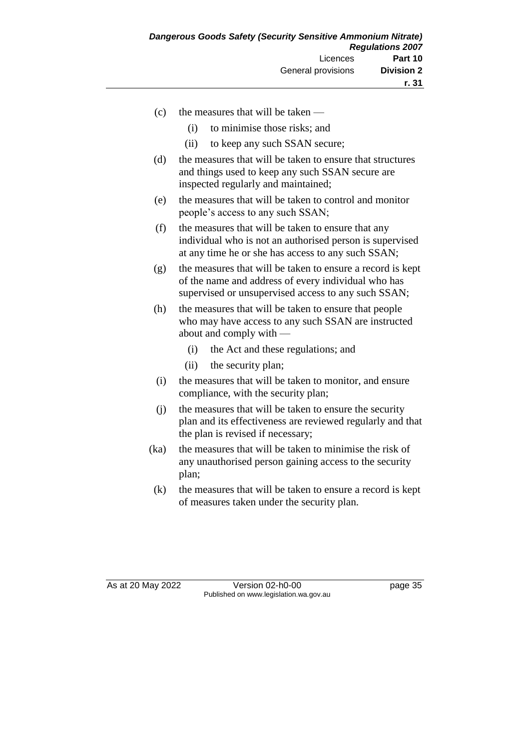- (c) the measures that will be taken
	- (i) to minimise those risks; and
	- (ii) to keep any such SSAN secure;
- (d) the measures that will be taken to ensure that structures and things used to keep any such SSAN secure are inspected regularly and maintained;
- (e) the measures that will be taken to control and monitor people's access to any such SSAN;
- (f) the measures that will be taken to ensure that any individual who is not an authorised person is supervised at any time he or she has access to any such SSAN;
- (g) the measures that will be taken to ensure a record is kept of the name and address of every individual who has supervised or unsupervised access to any such SSAN;
- (h) the measures that will be taken to ensure that people who may have access to any such SSAN are instructed about and comply with —
	- (i) the Act and these regulations; and
	- (ii) the security plan;
- (i) the measures that will be taken to monitor, and ensure compliance, with the security plan;
- (j) the measures that will be taken to ensure the security plan and its effectiveness are reviewed regularly and that the plan is revised if necessary;
- (ka) the measures that will be taken to minimise the risk of any unauthorised person gaining access to the security plan;
- (k) the measures that will be taken to ensure a record is kept of measures taken under the security plan.

As at 20 May 2022 Version 02-h0-00 page 35 Published on www.legislation.wa.gov.au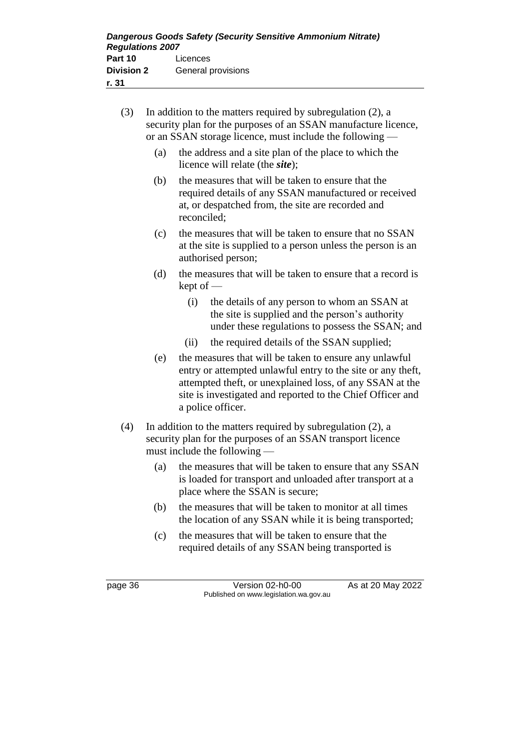| (3) | In addition to the matters required by subregulation $(2)$ , a<br>security plan for the purposes of an SSAN manufacture licence,<br>or an SSAN storage licence, must include the following — |                     |                                                                                                                                                                                                                                                 |
|-----|----------------------------------------------------------------------------------------------------------------------------------------------------------------------------------------------|---------------------|-------------------------------------------------------------------------------------------------------------------------------------------------------------------------------------------------------------------------------------------------|
|     | (a)                                                                                                                                                                                          |                     | the address and a site plan of the place to which the<br>licence will relate (the <i>site</i> );                                                                                                                                                |
|     | (b)                                                                                                                                                                                          | reconciled;         | the measures that will be taken to ensure that the<br>required details of any SSAN manufactured or received<br>at, or despatched from, the site are recorded and                                                                                |
|     | (c)                                                                                                                                                                                          |                     | the measures that will be taken to ensure that no SSAN<br>at the site is supplied to a person unless the person is an<br>authorised person;                                                                                                     |
|     | (d)                                                                                                                                                                                          | $\text{kept of }$ — | the measures that will be taken to ensure that a record is                                                                                                                                                                                      |
|     |                                                                                                                                                                                              | (i)                 | the details of any person to whom an SSAN at<br>the site is supplied and the person's authority<br>under these regulations to possess the SSAN; and                                                                                             |
|     |                                                                                                                                                                                              | (ii)                | the required details of the SSAN supplied;                                                                                                                                                                                                      |
|     | (e)                                                                                                                                                                                          | a police officer.   | the measures that will be taken to ensure any unlawful<br>entry or attempted unlawful entry to the site or any theft,<br>attempted theft, or unexplained loss, of any SSAN at the<br>site is investigated and reported to the Chief Officer and |
| (4) |                                                                                                                                                                                              |                     | In addition to the matters required by subregulation $(2)$ , a                                                                                                                                                                                  |

- (4) In addition to the matters required by subregulation (2), a security plan for the purposes of an SSAN transport licence must include the following —
	- (a) the measures that will be taken to ensure that any SSAN is loaded for transport and unloaded after transport at a place where the SSAN is secure;
	- (b) the measures that will be taken to monitor at all times the location of any SSAN while it is being transported;
	- (c) the measures that will be taken to ensure that the required details of any SSAN being transported is

page 36 Version 02-h0-00 As at 20 May 2022 Published on www.legislation.wa.gov.au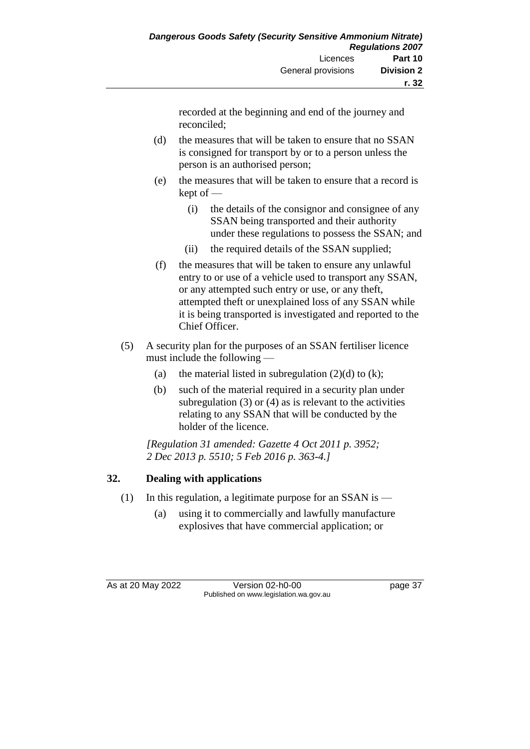recorded at the beginning and end of the journey and reconciled;

- (d) the measures that will be taken to ensure that no SSAN is consigned for transport by or to a person unless the person is an authorised person;
- (e) the measures that will be taken to ensure that a record is kept of —
	- (i) the details of the consignor and consignee of any SSAN being transported and their authority under these regulations to possess the SSAN; and
	- (ii) the required details of the SSAN supplied;
- (f) the measures that will be taken to ensure any unlawful entry to or use of a vehicle used to transport any SSAN, or any attempted such entry or use, or any theft, attempted theft or unexplained loss of any SSAN while it is being transported is investigated and reported to the Chief Officer.
- (5) A security plan for the purposes of an SSAN fertiliser licence must include the following —
	- (a) the material listed in subregulation  $(2)(d)$  to  $(k)$ ;
	- (b) such of the material required in a security plan under subregulation  $(3)$  or  $(4)$  as is relevant to the activities relating to any SSAN that will be conducted by the holder of the licence.

*[Regulation 31 amended: Gazette 4 Oct 2011 p. 3952; 2 Dec 2013 p. 5510; 5 Feb 2016 p. 363-4.]*

### **32. Dealing with applications**

- (1) In this regulation, a legitimate purpose for an SSAN is  $-$ 
	- (a) using it to commercially and lawfully manufacture explosives that have commercial application; or

As at 20 May 2022 Version 02-h0-00 page 37 Published on www.legislation.wa.gov.au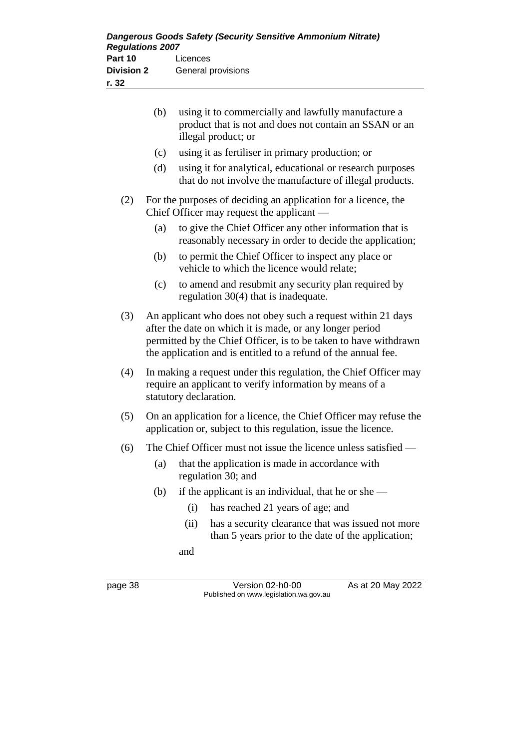|     | (b)                                                                                                                                 | using it to commercially and lawfully manufacture a<br>product that is not and does not contain an SSAN or an<br>illegal product; or                                                                                                                           |  |
|-----|-------------------------------------------------------------------------------------------------------------------------------------|----------------------------------------------------------------------------------------------------------------------------------------------------------------------------------------------------------------------------------------------------------------|--|
|     | (c)                                                                                                                                 | using it as fertiliser in primary production; or                                                                                                                                                                                                               |  |
|     | (d)                                                                                                                                 | using it for analytical, educational or research purposes<br>that do not involve the manufacture of illegal products.                                                                                                                                          |  |
| (2) |                                                                                                                                     | For the purposes of deciding an application for a licence, the<br>Chief Officer may request the applicant —                                                                                                                                                    |  |
|     | (a)                                                                                                                                 | to give the Chief Officer any other information that is<br>reasonably necessary in order to decide the application;                                                                                                                                            |  |
|     | (b)                                                                                                                                 | to permit the Chief Officer to inspect any place or<br>vehicle to which the licence would relate;                                                                                                                                                              |  |
|     | (c)                                                                                                                                 | to amend and resubmit any security plan required by<br>regulation $30(4)$ that is inadequate.                                                                                                                                                                  |  |
| (3) |                                                                                                                                     | An applicant who does not obey such a request within 21 days<br>after the date on which it is made, or any longer period<br>permitted by the Chief Officer, is to be taken to have withdrawn<br>the application and is entitled to a refund of the annual fee. |  |
| (4) |                                                                                                                                     | In making a request under this regulation, the Chief Officer may<br>require an applicant to verify information by means of a<br>statutory declaration.                                                                                                         |  |
| (5) | On an application for a licence, the Chief Officer may refuse the<br>application or, subject to this regulation, issue the licence. |                                                                                                                                                                                                                                                                |  |
| (6) |                                                                                                                                     | The Chief Officer must not issue the licence unless satisfied —                                                                                                                                                                                                |  |
|     | (a)                                                                                                                                 | that the application is made in accordance with<br>regulation 30; and                                                                                                                                                                                          |  |
|     | (b)                                                                                                                                 | if the applicant is an individual, that he or she -                                                                                                                                                                                                            |  |
|     |                                                                                                                                     | (i)<br>has reached 21 years of age; and                                                                                                                                                                                                                        |  |
|     |                                                                                                                                     | (ii)<br>has a security clearance that was issued not more<br>than 5 years prior to the date of the application;                                                                                                                                                |  |
|     |                                                                                                                                     | and                                                                                                                                                                                                                                                            |  |
|     |                                                                                                                                     |                                                                                                                                                                                                                                                                |  |

page 38 Version 02-h0-00 As at 20 May 2022 Published on www.legislation.wa.gov.au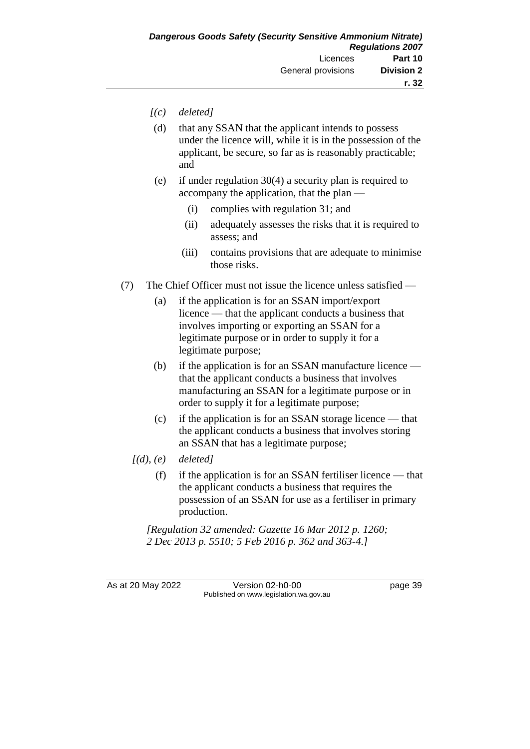- *[(c) deleted]*
- (d) that any SSAN that the applicant intends to possess under the licence will, while it is in the possession of the applicant, be secure, so far as is reasonably practicable; and
- (e) if under regulation 30(4) a security plan is required to accompany the application, that the plan —
	- (i) complies with regulation 31; and
	- (ii) adequately assesses the risks that it is required to assess; and
	- (iii) contains provisions that are adequate to minimise those risks.
- (7) The Chief Officer must not issue the licence unless satisfied
	- (a) if the application is for an SSAN import/export licence — that the applicant conducts a business that involves importing or exporting an SSAN for a legitimate purpose or in order to supply it for a legitimate purpose;
	- (b) if the application is for an SSAN manufacture licence that the applicant conducts a business that involves manufacturing an SSAN for a legitimate purpose or in order to supply it for a legitimate purpose;
	- (c) if the application is for an SSAN storage licence that the applicant conducts a business that involves storing an SSAN that has a legitimate purpose;
	- *[(d), (e) deleted]*
		- $(f)$  if the application is for an SSAN fertiliser licence that the applicant conducts a business that requires the possession of an SSAN for use as a fertiliser in primary production.

*[Regulation 32 amended: Gazette 16 Mar 2012 p. 1260; 2 Dec 2013 p. 5510; 5 Feb 2016 p. 362 and 363-4.]*

As at 20 May 2022 Version 02-h0-00 Page 39 Published on www.legislation.wa.gov.au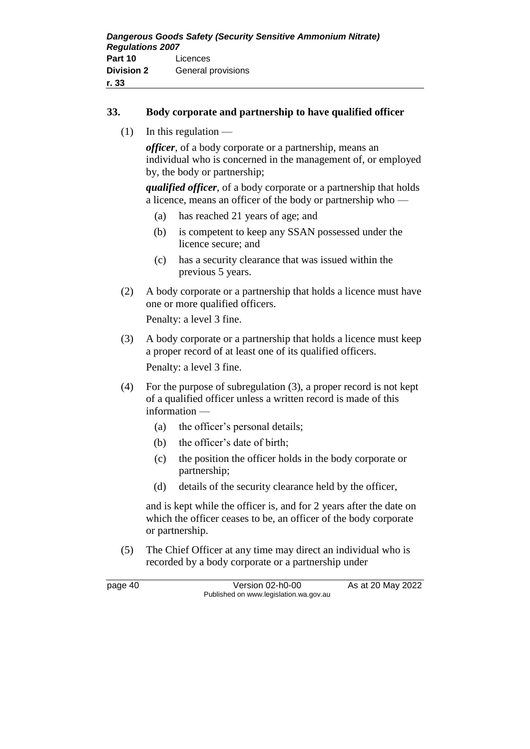### **33. Body corporate and partnership to have qualified officer**

 $(1)$  In this regulation —

*officer*, of a body corporate or a partnership, means an individual who is concerned in the management of, or employed by, the body or partnership;

*qualified officer*, of a body corporate or a partnership that holds a licence, means an officer of the body or partnership who —

- (a) has reached 21 years of age; and
- (b) is competent to keep any SSAN possessed under the licence secure; and
- (c) has a security clearance that was issued within the previous 5 years.
- (2) A body corporate or a partnership that holds a licence must have one or more qualified officers.

Penalty: a level 3 fine.

(3) A body corporate or a partnership that holds a licence must keep a proper record of at least one of its qualified officers. Penalty: a level 3 fine.

(4) For the purpose of subregulation (3), a proper record is not kept of a qualified officer unless a written record is made of this information —

- (a) the officer's personal details;
- (b) the officer's date of birth;
- (c) the position the officer holds in the body corporate or partnership;
- (d) details of the security clearance held by the officer,

and is kept while the officer is, and for 2 years after the date on which the officer ceases to be, an officer of the body corporate or partnership.

(5) The Chief Officer at any time may direct an individual who is recorded by a body corporate or a partnership under

page 40 Version 02-h0-00 As at 20 May 2022 Published on www.legislation.wa.gov.au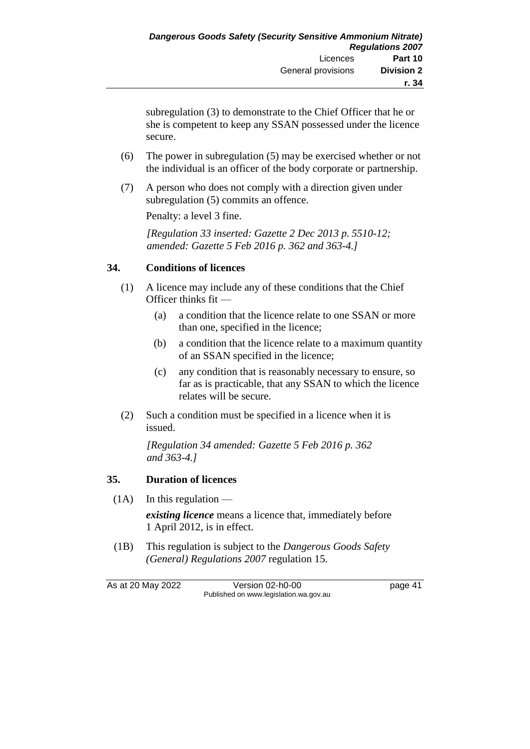subregulation (3) to demonstrate to the Chief Officer that he or she is competent to keep any SSAN possessed under the licence secure.

- (6) The power in subregulation (5) may be exercised whether or not the individual is an officer of the body corporate or partnership.
- (7) A person who does not comply with a direction given under subregulation (5) commits an offence.

Penalty: a level 3 fine.

*[Regulation 33 inserted: Gazette 2 Dec 2013 p. 5510-12; amended: Gazette 5 Feb 2016 p. 362 and 363-4.]*

### **34. Conditions of licences**

- (1) A licence may include any of these conditions that the Chief Officer thinks fit —
	- (a) a condition that the licence relate to one SSAN or more than one, specified in the licence;
	- (b) a condition that the licence relate to a maximum quantity of an SSAN specified in the licence;
	- (c) any condition that is reasonably necessary to ensure, so far as is practicable, that any SSAN to which the licence relates will be secure.
- (2) Such a condition must be specified in a licence when it is issued.

*[Regulation 34 amended: Gazette 5 Feb 2016 p. 362 and 363-4.]*

### **35. Duration of licences**

- $(1A)$  In this regulation *existing licence* means a licence that, immediately before 1 April 2012, is in effect.
- (1B) This regulation is subject to the *Dangerous Goods Safety (General) Regulations 2007* regulation 15.

As at 20 May 2022 Version 02-h0-00 page 41 Published on www.legislation.wa.gov.au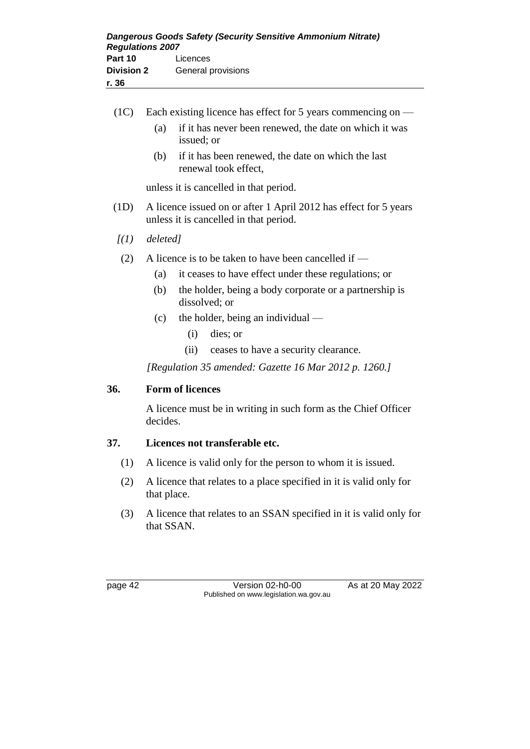| 36     |                                                              |                                                                      |  |
|--------|--------------------------------------------------------------|----------------------------------------------------------------------|--|
|        |                                                              |                                                                      |  |
| (1C) = | Each existing licence has effect for 5 years commencing on — |                                                                      |  |
|        | (a)                                                          | if it has never been renewed, the date on which it was<br>issued; or |  |

(b) if it has been renewed, the date on which the last renewal took effect,

unless it is cancelled in that period.

- (1D) A licence issued on or after 1 April 2012 has effect for 5 years unless it is cancelled in that period.
- *[(1) deleted]*
- (2) A licence is to be taken to have been cancelled if
	- (a) it ceases to have effect under these regulations; or
	- (b) the holder, being a body corporate or a partnership is dissolved; or
	- (c) the holder, being an individual
		- (i) dies; or
		- (ii) ceases to have a security clearance.

*[Regulation 35 amended: Gazette 16 Mar 2012 p. 1260.]*

### **36. Form of licences**

A licence must be in writing in such form as the Chief Officer decides.

# **37. Licences not transferable etc.**

- (1) A licence is valid only for the person to whom it is issued.
- (2) A licence that relates to a place specified in it is valid only for that place.
- (3) A licence that relates to an SSAN specified in it is valid only for that SSAN.

page 42 Version 02-h0-00 As at 20 May 2022 Published on www.legislation.wa.gov.au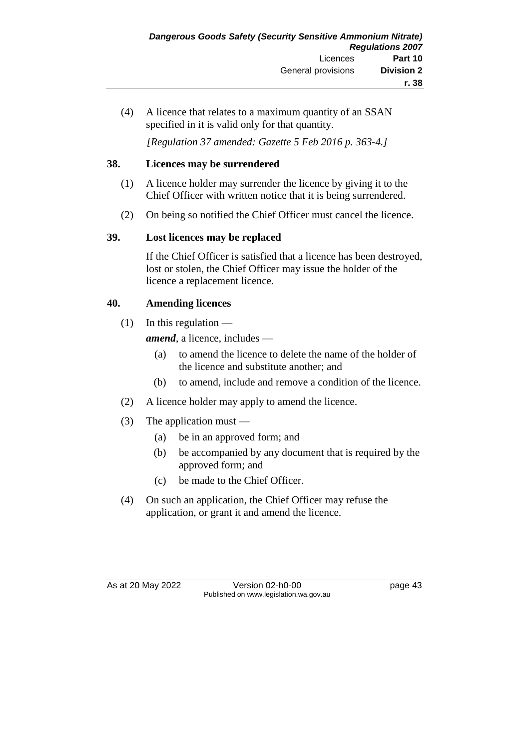(4) A licence that relates to a maximum quantity of an SSAN specified in it is valid only for that quantity.

*[Regulation 37 amended: Gazette 5 Feb 2016 p. 363-4.]*

### **38. Licences may be surrendered**

- (1) A licence holder may surrender the licence by giving it to the Chief Officer with written notice that it is being surrendered.
- (2) On being so notified the Chief Officer must cancel the licence.

# **39. Lost licences may be replaced**

If the Chief Officer is satisfied that a licence has been destroyed, lost or stolen, the Chief Officer may issue the holder of the licence a replacement licence.

# **40. Amending licences**

 $(1)$  In this regulation —

*amend*, a licence, includes —

- (a) to amend the licence to delete the name of the holder of the licence and substitute another; and
- (b) to amend, include and remove a condition of the licence.
- (2) A licence holder may apply to amend the licence.
- (3) The application must
	- (a) be in an approved form; and
	- (b) be accompanied by any document that is required by the approved form; and
	- (c) be made to the Chief Officer.
- (4) On such an application, the Chief Officer may refuse the application, or grant it and amend the licence.

As at 20 May 2022 Version 02-h0-00 Published on www.legislation.wa.gov.au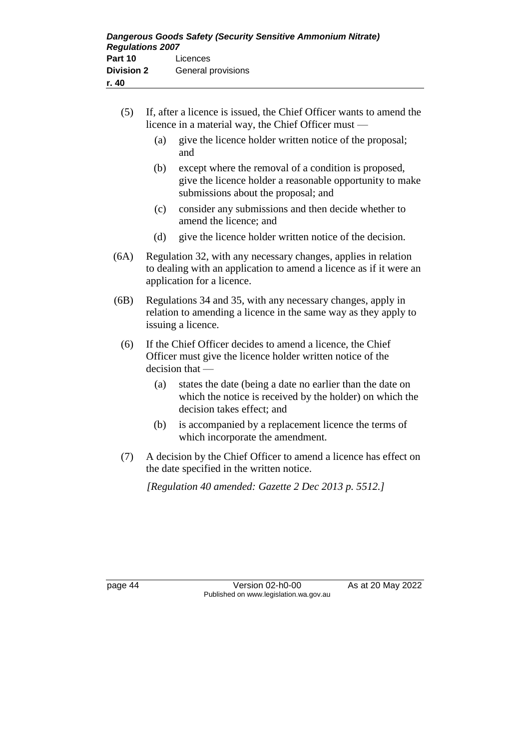- (5) If, after a licence is issued, the Chief Officer wants to amend the licence in a material way, the Chief Officer must —
	- (a) give the licence holder written notice of the proposal; and
	- (b) except where the removal of a condition is proposed, give the licence holder a reasonable opportunity to make submissions about the proposal; and
	- (c) consider any submissions and then decide whether to amend the licence; and
	- (d) give the licence holder written notice of the decision.
- (6A) Regulation 32, with any necessary changes, applies in relation to dealing with an application to amend a licence as if it were an application for a licence.
- (6B) Regulations 34 and 35, with any necessary changes, apply in relation to amending a licence in the same way as they apply to issuing a licence.
	- (6) If the Chief Officer decides to amend a licence, the Chief Officer must give the licence holder written notice of the decision that —
		- (a) states the date (being a date no earlier than the date on which the notice is received by the holder) on which the decision takes effect; and
		- (b) is accompanied by a replacement licence the terms of which incorporate the amendment.
	- (7) A decision by the Chief Officer to amend a licence has effect on the date specified in the written notice.

*[Regulation 40 amended: Gazette 2 Dec 2013 p. 5512.]*

page 44 Version 02-h0-00 As at 20 May 2022 Published on www.legislation.wa.gov.au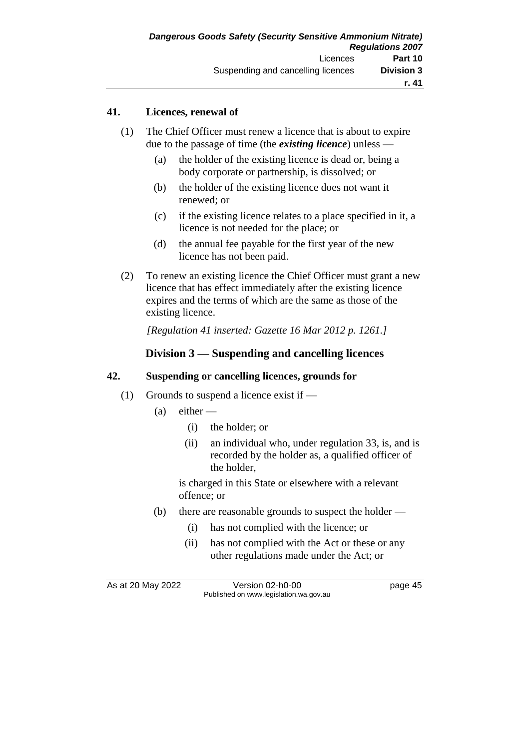### **41. Licences, renewal of**

- (1) The Chief Officer must renew a licence that is about to expire due to the passage of time (the *existing licence*) unless —
	- (a) the holder of the existing licence is dead or, being a body corporate or partnership, is dissolved; or
	- (b) the holder of the existing licence does not want it renewed; or
	- (c) if the existing licence relates to a place specified in it, a licence is not needed for the place; or
	- (d) the annual fee payable for the first year of the new licence has not been paid.
- (2) To renew an existing licence the Chief Officer must grant a new licence that has effect immediately after the existing licence expires and the terms of which are the same as those of the existing licence.

*[Regulation 41 inserted: Gazette 16 Mar 2012 p. 1261.]*

### **Division 3 — Suspending and cancelling licences**

#### **42. Suspending or cancelling licences, grounds for**

- (1) Grounds to suspend a licence exist if
	- $(a)$  either
		- (i) the holder; or
		- (ii) an individual who, under regulation 33, is, and is recorded by the holder as, a qualified officer of the holder,

is charged in this State or elsewhere with a relevant offence; or

- (b) there are reasonable grounds to suspect the holder
	- (i) has not complied with the licence; or
	- (ii) has not complied with the Act or these or any other regulations made under the Act; or

As at 20 May 2022 Version 02-h0-00 Page 45 Published on www.legislation.wa.gov.au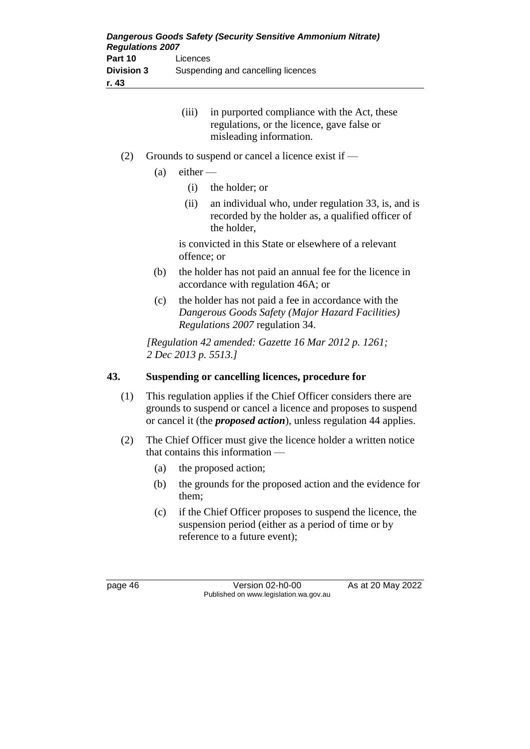- (iii) in purported compliance with the Act, these regulations, or the licence, gave false or misleading information.
- (2) Grounds to suspend or cancel a licence exist if  $-$ 
	- $(a)$  either
		- (i) the holder; or
		- (ii) an individual who, under regulation 33, is, and is recorded by the holder as, a qualified officer of the holder,

is convicted in this State or elsewhere of a relevant offence; or

- (b) the holder has not paid an annual fee for the licence in accordance with regulation 46A; or
- (c) the holder has not paid a fee in accordance with the *Dangerous Goods Safety (Major Hazard Facilities) Regulations 2007* regulation 34.

*[Regulation 42 amended: Gazette 16 Mar 2012 p. 1261; 2 Dec 2013 p. 5513.]*

### **43. Suspending or cancelling licences, procedure for**

- (1) This regulation applies if the Chief Officer considers there are grounds to suspend or cancel a licence and proposes to suspend or cancel it (the *proposed action*), unless regulation 44 applies.
- (2) The Chief Officer must give the licence holder a written notice that contains this information —
	- (a) the proposed action;
	- (b) the grounds for the proposed action and the evidence for them;
	- (c) if the Chief Officer proposes to suspend the licence, the suspension period (either as a period of time or by reference to a future event);

page 46 Version 02-h0-00 As at 20 May 2022 Published on www.legislation.wa.gov.au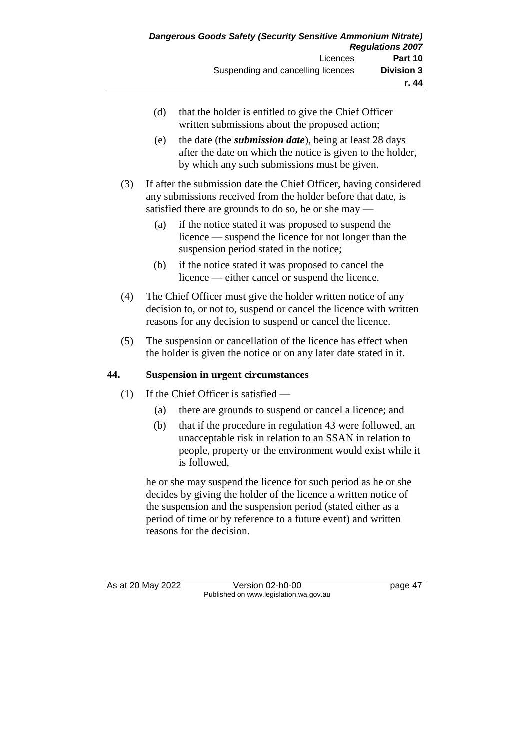- (d) that the holder is entitled to give the Chief Officer written submissions about the proposed action;
- (e) the date (the *submission date*), being at least 28 days after the date on which the notice is given to the holder, by which any such submissions must be given.
- (3) If after the submission date the Chief Officer, having considered any submissions received from the holder before that date, is satisfied there are grounds to do so, he or she may —
	- (a) if the notice stated it was proposed to suspend the licence — suspend the licence for not longer than the suspension period stated in the notice;
	- (b) if the notice stated it was proposed to cancel the licence — either cancel or suspend the licence.
- (4) The Chief Officer must give the holder written notice of any decision to, or not to, suspend or cancel the licence with written reasons for any decision to suspend or cancel the licence.
- (5) The suspension or cancellation of the licence has effect when the holder is given the notice or on any later date stated in it.

### **44. Suspension in urgent circumstances**

- (1) If the Chief Officer is satisfied
	- (a) there are grounds to suspend or cancel a licence; and
	- (b) that if the procedure in regulation 43 were followed, an unacceptable risk in relation to an SSAN in relation to people, property or the environment would exist while it is followed,

he or she may suspend the licence for such period as he or she decides by giving the holder of the licence a written notice of the suspension and the suspension period (stated either as a period of time or by reference to a future event) and written reasons for the decision.

As at 20 May 2022 Version 02-h0-00 page 47 Published on www.legislation.wa.gov.au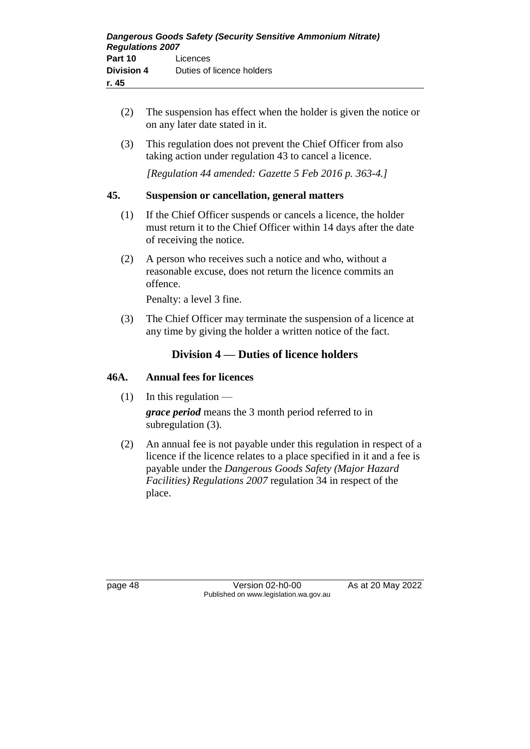- (2) The suspension has effect when the holder is given the notice or on any later date stated in it.
- (3) This regulation does not prevent the Chief Officer from also taking action under regulation 43 to cancel a licence.

*[Regulation 44 amended: Gazette 5 Feb 2016 p. 363-4.]*

### **45. Suspension or cancellation, general matters**

- (1) If the Chief Officer suspends or cancels a licence, the holder must return it to the Chief Officer within 14 days after the date of receiving the notice.
- (2) A person who receives such a notice and who, without a reasonable excuse, does not return the licence commits an offence.

Penalty: a level 3 fine.

(3) The Chief Officer may terminate the suspension of a licence at any time by giving the holder a written notice of the fact.

### **Division 4 — Duties of licence holders**

#### **46A. Annual fees for licences**

 $(1)$  In this regulation —

*grace period* means the 3 month period referred to in subregulation (3).

(2) An annual fee is not payable under this regulation in respect of a licence if the licence relates to a place specified in it and a fee is payable under the *Dangerous Goods Safety (Major Hazard Facilities) Regulations 2007* regulation 34 in respect of the place.

page 48 Version 02-h0-00 As at 20 May 2022 Published on www.legislation.wa.gov.au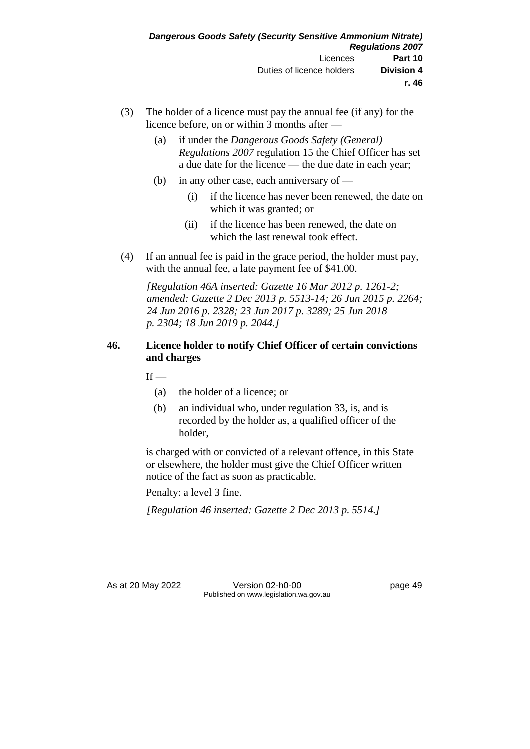- (3) The holder of a licence must pay the annual fee (if any) for the licence before, on or within 3 months after —
	- (a) if under the *Dangerous Goods Safety (General) Regulations 2007* regulation 15 the Chief Officer has set a due date for the licence — the due date in each year;
	- (b) in any other case, each anniversary of
		- (i) if the licence has never been renewed, the date on which it was granted; or
		- (ii) if the licence has been renewed, the date on which the last renewal took effect.
- (4) If an annual fee is paid in the grace period, the holder must pay, with the annual fee, a late payment fee of \$41.00.

*[Regulation 46A inserted: Gazette 16 Mar 2012 p. 1261-2; amended: Gazette 2 Dec 2013 p. 5513-14; 26 Jun 2015 p. 2264; 24 Jun 2016 p. 2328; 23 Jun 2017 p. 3289; 25 Jun 2018 p. 2304; 18 Jun 2019 p. 2044.]*

### **46. Licence holder to notify Chief Officer of certain convictions and charges**

- $If -$ 
	- (a) the holder of a licence; or
	- (b) an individual who, under regulation 33, is, and is recorded by the holder as, a qualified officer of the holder,

is charged with or convicted of a relevant offence, in this State or elsewhere, the holder must give the Chief Officer written notice of the fact as soon as practicable.

Penalty: a level 3 fine.

*[Regulation 46 inserted: Gazette 2 Dec 2013 p. 5514.]*

As at 20 May 2022 Version 02-h0-00 Page 49 Published on www.legislation.wa.gov.au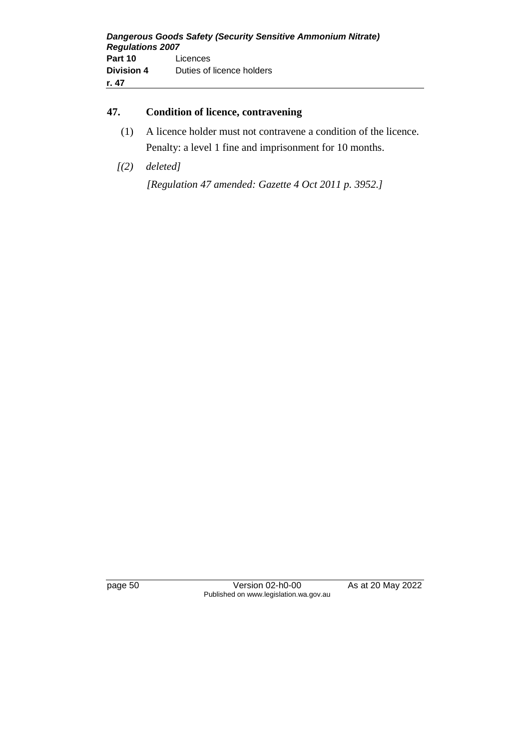### **47. Condition of licence, contravening**

- (1) A licence holder must not contravene a condition of the licence. Penalty: a level 1 fine and imprisonment for 10 months.
- *[(2) deleted]*

*[Regulation 47 amended: Gazette 4 Oct 2011 p. 3952.]*

page 50 Version 02-h0-00 As at 20 May 2022 Published on www.legislation.wa.gov.au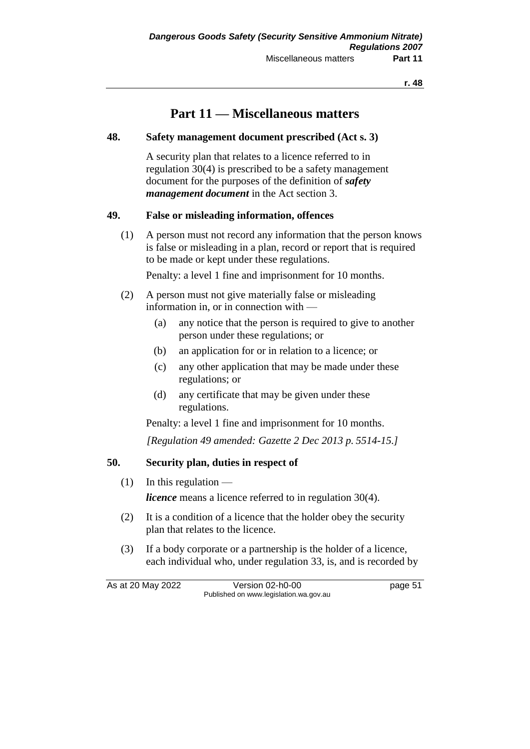# **Part 11 — Miscellaneous matters**

#### **48. Safety management document prescribed (Act s. 3)**

A security plan that relates to a licence referred to in regulation 30(4) is prescribed to be a safety management document for the purposes of the definition of *safety management document* in the Act section 3.

### **49. False or misleading information, offences**

(1) A person must not record any information that the person knows is false or misleading in a plan, record or report that is required to be made or kept under these regulations.

Penalty: a level 1 fine and imprisonment for 10 months.

- (2) A person must not give materially false or misleading information in, or in connection with —
	- (a) any notice that the person is required to give to another person under these regulations; or
	- (b) an application for or in relation to a licence; or
	- (c) any other application that may be made under these regulations; or
	- (d) any certificate that may be given under these regulations.

Penalty: a level 1 fine and imprisonment for 10 months.

*[Regulation 49 amended: Gazette 2 Dec 2013 p. 5514-15.]*

### **50. Security plan, duties in respect of**

 $(1)$  In this regulation —

*licence* means a licence referred to in regulation 30(4).

- (2) It is a condition of a licence that the holder obey the security plan that relates to the licence.
- (3) If a body corporate or a partnership is the holder of a licence, each individual who, under regulation 33, is, and is recorded by

As at 20 May 2022 Version 02-h0-00 page 51 Published on www.legislation.wa.gov.au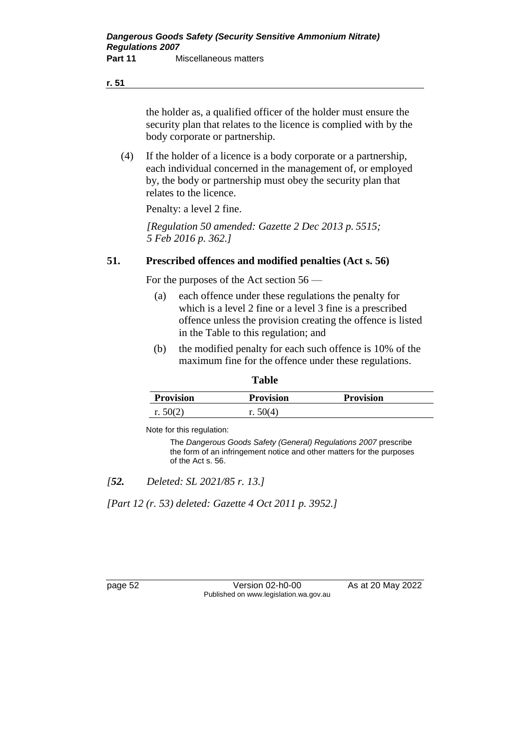#### **r. 51**

the holder as, a qualified officer of the holder must ensure the security plan that relates to the licence is complied with by the body corporate or partnership.

(4) If the holder of a licence is a body corporate or a partnership, each individual concerned in the management of, or employed by, the body or partnership must obey the security plan that relates to the licence.

Penalty: a level 2 fine.

*[Regulation 50 amended: Gazette 2 Dec 2013 p. 5515; 5 Feb 2016 p. 362.]*

### **51. Prescribed offences and modified penalties (Act s. 56)**

For the purposes of the Act section 56 —

- (a) each offence under these regulations the penalty for which is a level 2 fine or a level 3 fine is a prescribed offence unless the provision creating the offence is listed in the Table to this regulation; and
- (b) the modified penalty for each such offence is 10% of the maximum fine for the offence under these regulations.

**Table**

| <b>Provision</b> | <b>Provision</b> | <b>Provision</b> |
|------------------|------------------|------------------|
| r. $50(2)$       | r. $50(4)$       |                  |

Note for this regulation:

The *Dangerous Goods Safety (General) Regulations 2007* prescribe the form of an infringement notice and other matters for the purposes of the Act s. 56.

*[52. Deleted: SL 2021/85 r. 13.]*

*[Part 12 (r. 53) deleted: Gazette 4 Oct 2011 p. 3952.]*

page 52 Version 02-h0-00 As at 20 May 2022 Published on www.legislation.wa.gov.au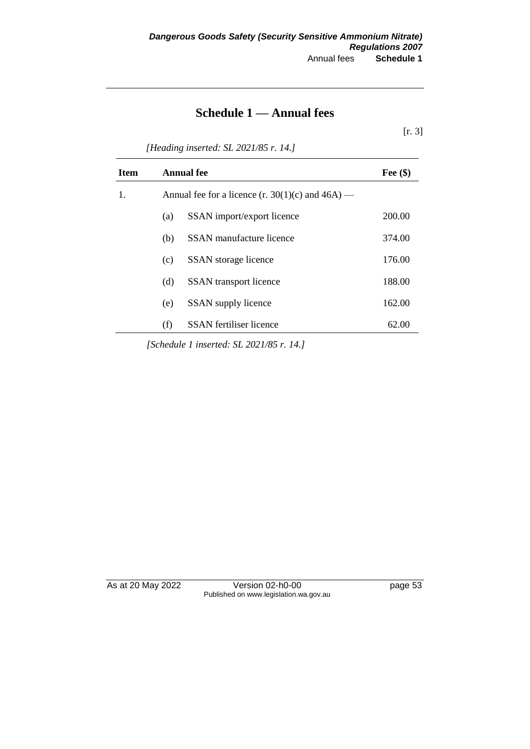# **Schedule 1 — Annual fees**

[r. 3]

*[Heading inserted: SL 2021/85 r. 14.]*

| <b>Item</b> |                                                       | <b>Annual fee</b>              | Fee $(\$)$ |
|-------------|-------------------------------------------------------|--------------------------------|------------|
| 1.          | Annual fee for a licence $(r. 30(1)(c)$ and $46A$ ) — |                                |            |
|             | (a)                                                   | SSAN import/export licence     | 200.00     |
|             | (b)                                                   | SSAN manufacture licence       | 374.00     |
|             | (c)                                                   | SSAN storage licence           | 176.00     |
|             | (d)                                                   | <b>SSAN</b> transport licence  | 188.00     |
|             | (e)                                                   | SSAN supply licence            | 162.00     |
|             | (f)                                                   | <b>SSAN</b> fertiliser licence | 62.00      |

*[Schedule 1 inserted: SL 2021/85 r. 14.]*

As at 20 May 2022 Version 02-h0-00 page 53 Published on www.legislation.wa.gov.au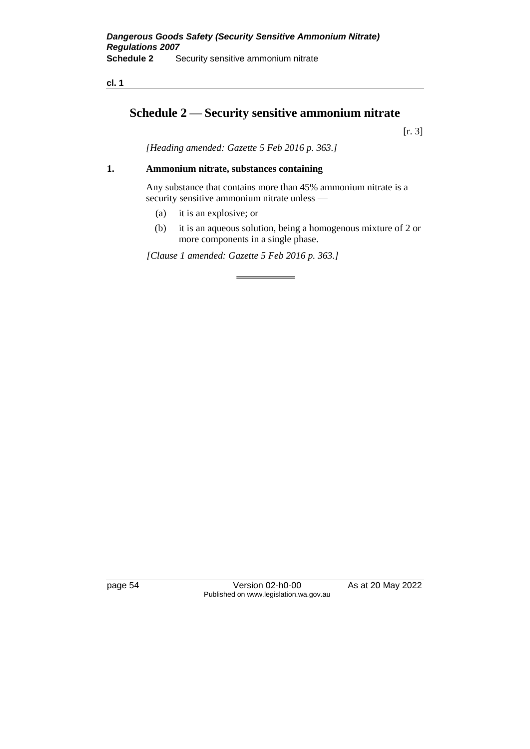**cl. 1**

# **Schedule 2 — Security sensitive ammonium nitrate**

[r. 3]

*[Heading amended: Gazette 5 Feb 2016 p. 363.]*

#### **1. Ammonium nitrate, substances containing**

Any substance that contains more than 45% ammonium nitrate is a security sensitive ammonium nitrate unless —

- (a) it is an explosive; or
- (b) it is an aqueous solution, being a homogenous mixture of 2 or more components in a single phase.

*[Clause 1 amended: Gazette 5 Feb 2016 p. 363.]*

page 54 Version 02-h0-00 As at 20 May 2022 Published on www.legislation.wa.gov.au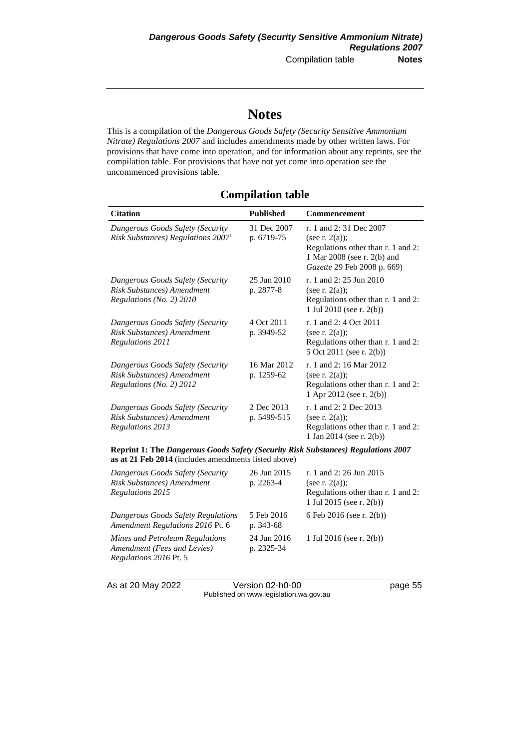# **Notes**

This is a compilation of the *Dangerous Goods Safety (Security Sensitive Ammonium Nitrate) Regulations 2007* and includes amendments made by other written laws. For provisions that have come into operation, and for information about any reprints, see the compilation table. For provisions that have not yet come into operation see the uncommenced provisions table.

# **Compilation table**

| <b>Citation</b>                                                                                                                                  | <b>Published</b>          | <b>Commencement</b>                                                                                                                             |  |
|--------------------------------------------------------------------------------------------------------------------------------------------------|---------------------------|-------------------------------------------------------------------------------------------------------------------------------------------------|--|
| Dangerous Goods Safety (Security<br>Risk Substances) Regulations 2007 <sup>1</sup>                                                               | 31 Dec 2007<br>p. 6719-75 | r. 1 and 2:31 Dec 2007<br>(see r. $2(a)$ );<br>Regulations other than r. 1 and 2:<br>1 Mar 2008 (see r. 2(b) and<br>Gazette 29 Feb 2008 p. 669) |  |
| Dangerous Goods Safety (Security<br>Risk Substances) Amendment<br>Regulations (No. 2) 2010                                                       | 25 Jun 2010<br>p. 2877-8  | r. 1 and 2: 25 Jun 2010<br>(see r. $2(a)$ );<br>Regulations other than r. 1 and 2:<br>1 Jul 2010 (see r. 2(b))                                  |  |
| Dangerous Goods Safety (Security<br>Risk Substances) Amendment<br><b>Regulations 2011</b>                                                        | 4 Oct 2011<br>p. 3949-52  | r. 1 and 2: 4 Oct 2011<br>(see r. $2(a)$ );<br>Regulations other than r. 1 and 2:<br>5 Oct 2011 (see r. 2(b))                                   |  |
| Dangerous Goods Safety (Security<br>Risk Substances) Amendment<br>Regulations (No. 2) 2012                                                       | 16 Mar 2012<br>p. 1259-62 | r. 1 and 2:16 Mar 2012<br>(see r. $2(a)$ );<br>Regulations other than r. 1 and 2:<br>1 Apr 2012 (see r. 2(b))                                   |  |
| Dangerous Goods Safety (Security<br>Risk Substances) Amendment<br>Regulations 2013                                                               | 2 Dec 2013<br>p. 5499-515 | r. 1 and 2: 2 Dec 2013<br>(see r. $2(a)$ );<br>Regulations other than r. 1 and 2:<br>1 Jan 2014 (see r. 2(b))                                   |  |
| <b>Reprint 1: The Dangerous Goods Safety (Security Risk Substances) Regulations 2007</b><br>as at 21 Feb 2014 (includes amendments listed above) |                           |                                                                                                                                                 |  |
| Dangerous Goods Safety (Security<br>Risk Substances) Amendment<br><b>Regulations 2015</b>                                                        | 26 Jun 2015<br>p. 2263-4  | r. 1 and 2: 26 Jun 2015<br>(see r. $2(a)$ );<br>Regulations other than r. 1 and 2:<br>1 Jul 2015 (see r. $2(b)$ )                               |  |
| Dangerous Goods Safety Regulations<br>Amendment Regulations 2016 Pt. 6                                                                           | 5 Feb 2016<br>p. 343-68   | 6 Feb 2016 (see r. 2(b))                                                                                                                        |  |
| Mines and Petroleum Regulations<br>Amendment (Fees and Levies)<br>Regulations 2016 Pt. 5                                                         | 24 Jun 2016<br>p. 2325-34 | 1 Jul 2016 (see r. 2(b))                                                                                                                        |  |

As at 20 May 2022 Version 02-h0-00 Page 55 Published on www.legislation.wa.gov.au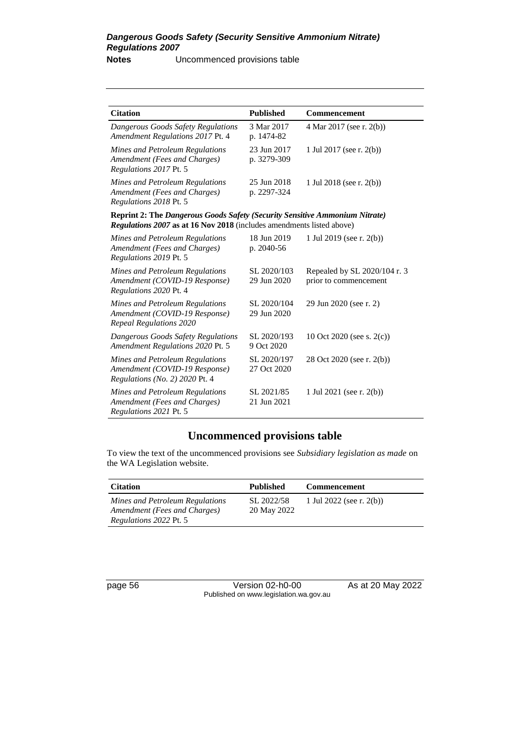| <b>Citation</b>                                                                                                                                             | <b>Published</b>           | <b>Commencement</b>                                   |
|-------------------------------------------------------------------------------------------------------------------------------------------------------------|----------------------------|-------------------------------------------------------|
| Dangerous Goods Safety Regulations<br>Amendment Regulations 2017 Pt. 4                                                                                      | 3 Mar 2017<br>p. 1474-82   | 4 Mar 2017 (see r. 2(b))                              |
| Mines and Petroleum Regulations<br>Amendment (Fees and Charges)<br>Regulations 2017 Pt. 5                                                                   | 23 Jun 2017<br>p. 3279-309 | 1 Jul 2017 (see r. 2(b))                              |
| Mines and Petroleum Regulations<br>Amendment (Fees and Charges)<br>Regulations 2018 Pt. 5                                                                   | 25 Jun 2018<br>p. 2297-324 | 1 Jul 2018 (see r. 2(b))                              |
| <b>Reprint 2: The Dangerous Goods Safety (Security Sensitive Ammonium Nitrate)</b><br>Regulations 2007 as at 16 Nov 2018 (includes amendments listed above) |                            |                                                       |
| Mines and Petroleum Regulations<br>Amendment (Fees and Charges)<br>Regulations 2019 Pt. 5                                                                   | 18 Jun 2019<br>p. 2040-56  | 1 Jul 2019 (see r. $2(b)$ )                           |
| Mines and Petroleum Regulations<br>Amendment (COVID-19 Response)<br>Regulations 2020 Pt. 4                                                                  | SL 2020/103<br>29 Jun 2020 | Repealed by SL 2020/104 r. 3<br>prior to commencement |
| Mines and Petroleum Regulations<br>Amendment (COVID-19 Response)<br><b>Repeal Regulations 2020</b>                                                          | SL 2020/104<br>29 Jun 2020 | 29 Jun 2020 (see r. 2)                                |
| Dangerous Goods Safety Regulations<br>Amendment Regulations 2020 Pt. 5                                                                                      | SL 2020/193<br>9 Oct 2020  | 10 Oct 2020 (see s. $2(c)$ )                          |
| Mines and Petroleum Regulations<br>Amendment (COVID-19 Response)<br>Regulations (No. 2) 2020 Pt. 4                                                          | SL 2020/197<br>27 Oct 2020 | 28 Oct 2020 (see r. 2(b))                             |
| Mines and Petroleum Regulations<br>Amendment (Fees and Charges)<br>Regulations 2021 Pt. 5                                                                   | SL 2021/85<br>21 Jun 2021  | 1 Jul 2021 (see r. 2(b))                              |

# **Uncommenced provisions table**

To view the text of the uncommenced provisions see *Subsidiary legislation as made* on the WA Legislation website.

| <b>Citation</b>                                                                                  | <b>Published</b>          | Commencement                |
|--------------------------------------------------------------------------------------------------|---------------------------|-----------------------------|
| Mines and Petroleum Regulations<br>Amendment (Fees and Charges)<br><i>Regulations 2022 Pt. 5</i> | SL 2022/58<br>20 May 2022 | 1 Jul 2022 (see r. $2(b)$ ) |

page 56 Version 02-h0-00 As at 20 May 2022 Published on www.legislation.wa.gov.au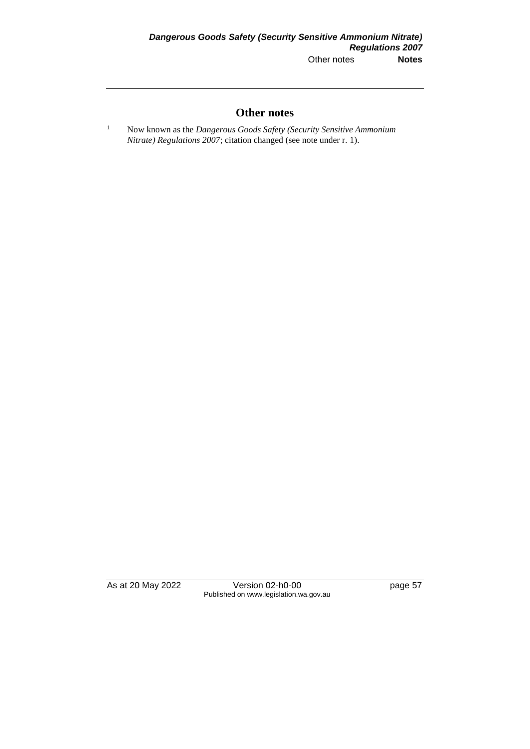### **Other notes**

<sup>1</sup> Now known as the *Dangerous Goods Safety (Security Sensitive Ammonium Nitrate) Regulations 2007*; citation changed (see note under r. 1).

As at 20 May 2022 Version 02-h0-00 page 57 Published on www.legislation.wa.gov.au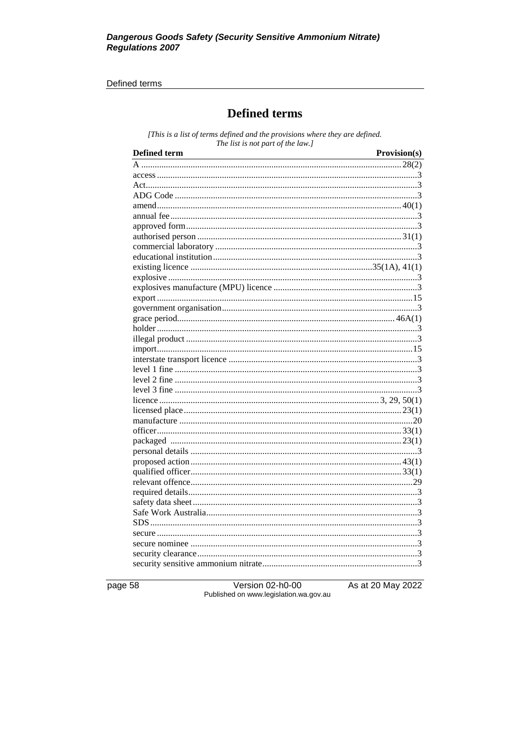#### Defined terms

# **Defined terms**

[This is a list of terms defined and the provisions where they are defined. The list is not part of the law.]

| <b>Defined term</b> | Provision(s) |
|---------------------|--------------|
|                     |              |
|                     |              |
|                     |              |
|                     |              |
|                     |              |
|                     |              |
|                     |              |
|                     |              |
|                     |              |
|                     |              |
|                     |              |
|                     |              |
|                     |              |
|                     |              |
|                     |              |
|                     |              |
|                     |              |
|                     |              |
|                     |              |
|                     |              |
|                     |              |
|                     |              |
|                     |              |
|                     |              |
|                     |              |
|                     |              |
|                     |              |
|                     |              |
|                     |              |
|                     |              |
|                     |              |
|                     |              |
|                     |              |
|                     |              |
|                     |              |
|                     |              |
|                     |              |
|                     |              |
|                     |              |
|                     |              |

page 58

Version 02-h0-00 Published on www.legislation.wa.gov.au As at 20 May 2022